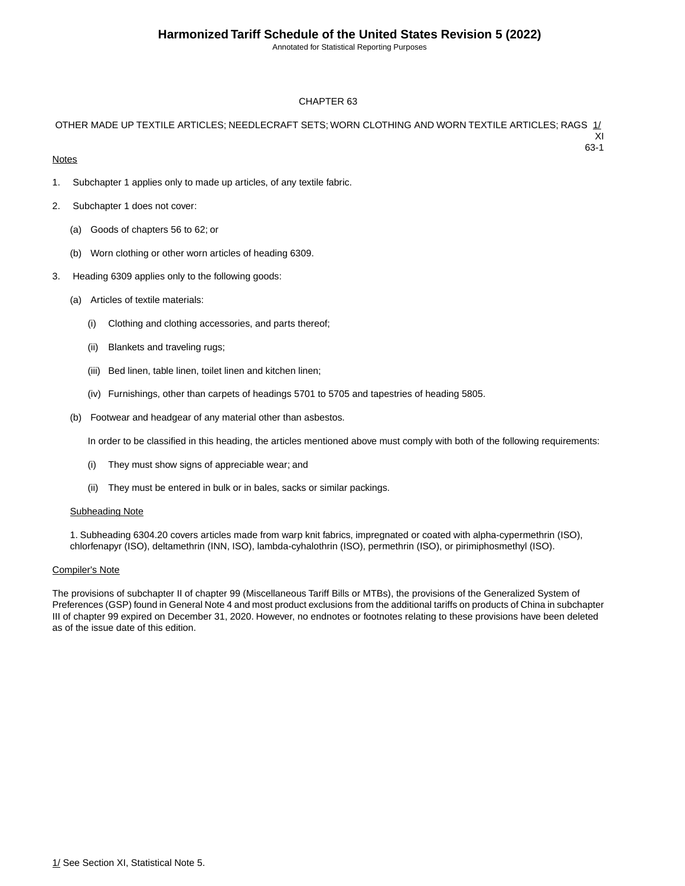Annotated for Statistical Reporting Purposes

63-1

#### CHAPTER 63

#### OTHER MADE UP TEXTILE ARTICLES; NEEDLECRAFT SETS; WORN CLOTHING AND WORN TEXTILE ARTICLES; RAGS 1/ XI

**Notes** 

- 1. Subchapter 1 applies only to made up articles, of any textile fabric.
- 2. Subchapter 1 does not cover:
	- (a) Goods of chapters 56 to 62; or
	- (b) Worn clothing or other worn articles of heading 6309.
- 3. Heading 6309 applies only to the following goods:
	- (a) Articles of textile materials:
		- (i) Clothing and clothing accessories, and parts thereof;
		- (ii) Blankets and traveling rugs;
		- (iii) Bed linen, table linen, toilet linen and kitchen linen;
		- (iv) Furnishings, other than carpets of headings 5701 to 5705 and tapestries of heading 5805.
	- (b) Footwear and headgear of any material other than asbestos.

In order to be classified in this heading, the articles mentioned above must comply with both of the following requirements:

- (i) They must show signs of appreciable wear; and
- (ii) They must be entered in bulk or in bales, sacks or similar packings.

#### Subheading Note

1. Subheading 6304.20 covers articles made from warp knit fabrics, impregnated or coated with alpha-cypermethrin (ISO), chlorfenapyr (ISO), deltamethrin (INN, ISO), lambda-cyhalothrin (ISO), permethrin (ISO), or pirimiphosmethyl (ISO).

#### Compiler's Note

The provisions of subchapter II of chapter 99 (Miscellaneous Tariff Bills or MTBs), the provisions of the Generalized System of Preferences (GSP) found in General Note 4 and most product exclusions from the additional tariffs on products of China in subchapter III of chapter 99 expired on December 31, 2020. However, no endnotes or footnotes relating to these provisions have been deleted as of the issue date of this edition.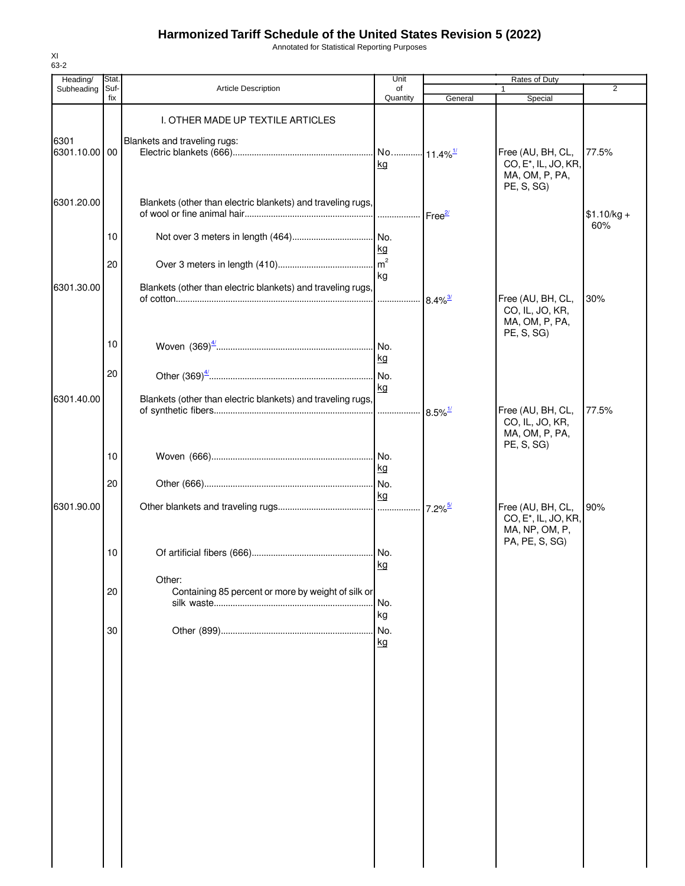Annotated for Statistical Reporting Purposes

| Heading/              | Stat.       |                                                              | Unit                          |                                    | Rates of Duty                                                                             |                     |
|-----------------------|-------------|--------------------------------------------------------------|-------------------------------|------------------------------------|-------------------------------------------------------------------------------------------|---------------------|
| Subheading            | Suf-<br>fix | Article Description                                          | of<br>Quantity                | General                            | 1<br>Special                                                                              | 2                   |
|                       |             | I. OTHER MADE UP TEXTILE ARTICLES                            |                               |                                    |                                                                                           |                     |
| 6301<br>6301.10.00 00 |             | Blankets and traveling rugs:                                 | No 11.4% <sup>1/1</sup><br>kg |                                    | Free (AU, BH, CL,<br>CO, E <sup>*</sup> , IL, JO, KR,<br>MA, OM, P, PA,                   | 77.5%               |
| 6301.20.00            |             | Blankets (other than electric blankets) and traveling rugs,  | .                             | $\mathsf{Free}^{\mathsf{2}\prime}$ | PE, S, SG)                                                                                | $$1.10/kg +$<br>60% |
|                       | 10          |                                                              | I No.<br>kg                   |                                    |                                                                                           |                     |
|                       | 20          |                                                              | m <sup>2</sup><br>kg          |                                    |                                                                                           |                     |
| 6301.30.00            |             | Blankets (other than electric blankets) and traveling rugs,  | .                             | $8.4\%$ <sup>3/</sup>              | Free (AU, BH, CL,<br>CO, IL, JO, KR,<br>MA, OM, P, PA,<br>PE, S, SG)                      | 30%                 |
|                       | 10          |                                                              | No.<br>kg                     |                                    |                                                                                           |                     |
|                       | 20          |                                                              | kg                            |                                    |                                                                                           |                     |
| 6301.40.00            |             | Blankets (other than electric blankets) and traveling rugs,  |                               | $8.5\%$ <sup>1/</sup>              | Free (AU, BH, CL,<br>CO, IL, JO, KR,<br>MA, OM, P, PA,                                    | 77.5%               |
|                       | 10          |                                                              | kg                            |                                    | PE, S, SG)                                                                                |                     |
|                       | 20          |                                                              | kg                            |                                    |                                                                                           |                     |
| 6301.90.00            |             |                                                              |                               | $7.2\%$ <sup>5/</sup>              | Free (AU, BH, CL,<br>CO, E <sup>*</sup> , IL, JO, KR,<br>MA, NP, OM, P,<br>PA, PE, S, SG) | 90%                 |
|                       | 10          |                                                              | kg                            |                                    |                                                                                           |                     |
|                       | 20          | Other:<br>Containing 85 percent or more by weight of silk or | No.<br>kg                     |                                    |                                                                                           |                     |
|                       | 30          |                                                              | No.<br>kg                     |                                    |                                                                                           |                     |
|                       |             |                                                              |                               |                                    |                                                                                           |                     |
|                       |             |                                                              |                               |                                    |                                                                                           |                     |
|                       |             |                                                              |                               |                                    |                                                                                           |                     |
|                       |             |                                                              |                               |                                    |                                                                                           |                     |
|                       |             |                                                              |                               |                                    |                                                                                           |                     |
|                       |             |                                                              |                               |                                    |                                                                                           |                     |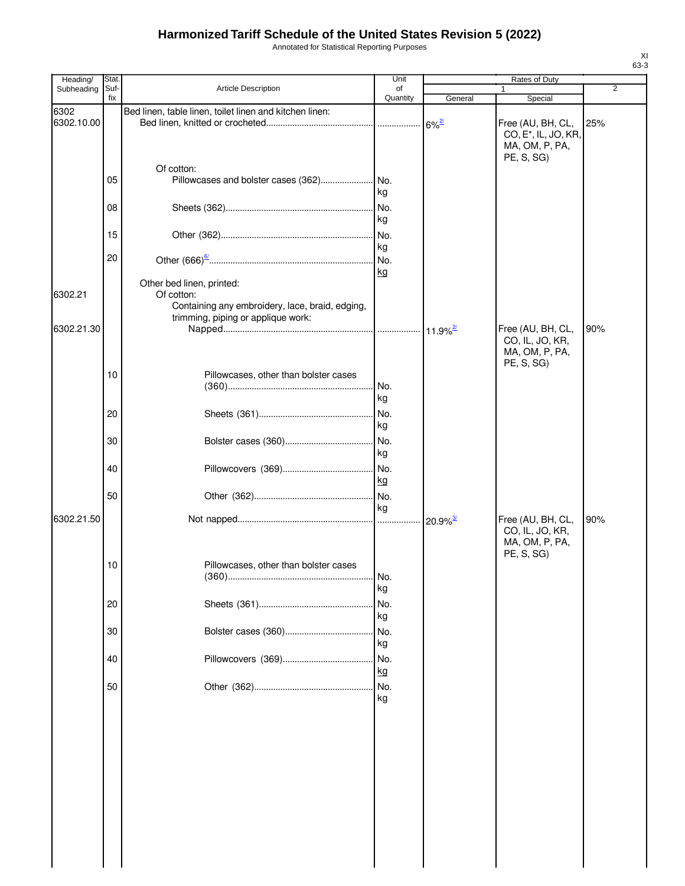Annotated for Statistical Reporting Purposes

| Heading/           | Stat.       |                                                                                                     | Unit             |                        | <b>Rates of Duty</b>                                             |                |
|--------------------|-------------|-----------------------------------------------------------------------------------------------------|------------------|------------------------|------------------------------------------------------------------|----------------|
| Subheading         | Suf-<br>fix | <b>Article Description</b>                                                                          | of<br>Quantity   | General                | Special                                                          | $\overline{2}$ |
| 6302<br>6302.10.00 |             | Bed linen, table linen, toilet linen and kitchen linen:                                             |                  | $6\%$ <sup>2/</sup>    | Free (AU, BH, CL,                                                | 25%            |
|                    |             |                                                                                                     |                  |                        | CO, E <sup>*</sup> , IL, JO, KR,<br>MA, OM, P, PA,<br>PE, S, SG) |                |
|                    | 05          | Of cotton:<br>Pillowcases and bolster cases (362) No.                                               | kg               |                        |                                                                  |                |
|                    | 08          |                                                                                                     | kg               |                        |                                                                  |                |
|                    | 15<br>20    |                                                                                                     | kg               |                        |                                                                  |                |
|                    |             | Other bed linen, printed:                                                                           | kg               |                        |                                                                  |                |
| 6302.21            |             | Of cotton:<br>Containing any embroidery, lace, braid, edging,<br>trimming, piping or applique work: |                  |                        |                                                                  |                |
| 6302.21.30         |             |                                                                                                     |                  |                        | Free (AU, BH, CL,<br>CO, IL, JO, KR,<br>MA, OM, P, PA,           | 90%            |
|                    | 10          | Pillowcases, other than bolster cases                                                               |                  |                        | PE, S, SG)                                                       |                |
|                    | 20          |                                                                                                     | kg<br>No.<br>kg  |                        |                                                                  |                |
|                    | 30          |                                                                                                     | No.<br>kg        |                        |                                                                  |                |
|                    | 40          |                                                                                                     | No.<br>kg        |                        |                                                                  |                |
| 6302.21.50         | 50          |                                                                                                     | No.<br>kg        | $20.9\%$ <sup>3/</sup> | Free (AU, BH, CL,                                                | 90%            |
|                    |             |                                                                                                     |                  |                        | CO, IL, JO, KR,<br>MA, OM, P, PA,<br>PE, S, SG)                  |                |
|                    | 10          | Pillowcases, other than bolster cases                                                               | No.<br>kg        |                        |                                                                  |                |
|                    | 20          |                                                                                                     | No.<br>kg        |                        |                                                                  |                |
|                    | 30          |                                                                                                     | No.<br>kg        |                        |                                                                  |                |
|                    | 40<br>50    |                                                                                                     | No.<br>kg<br>No. |                        |                                                                  |                |
|                    |             |                                                                                                     | kg               |                        |                                                                  |                |
|                    |             |                                                                                                     |                  |                        |                                                                  |                |
|                    |             |                                                                                                     |                  |                        |                                                                  |                |
|                    |             |                                                                                                     |                  |                        |                                                                  |                |
|                    |             |                                                                                                     |                  |                        |                                                                  |                |
|                    |             |                                                                                                     |                  |                        |                                                                  |                |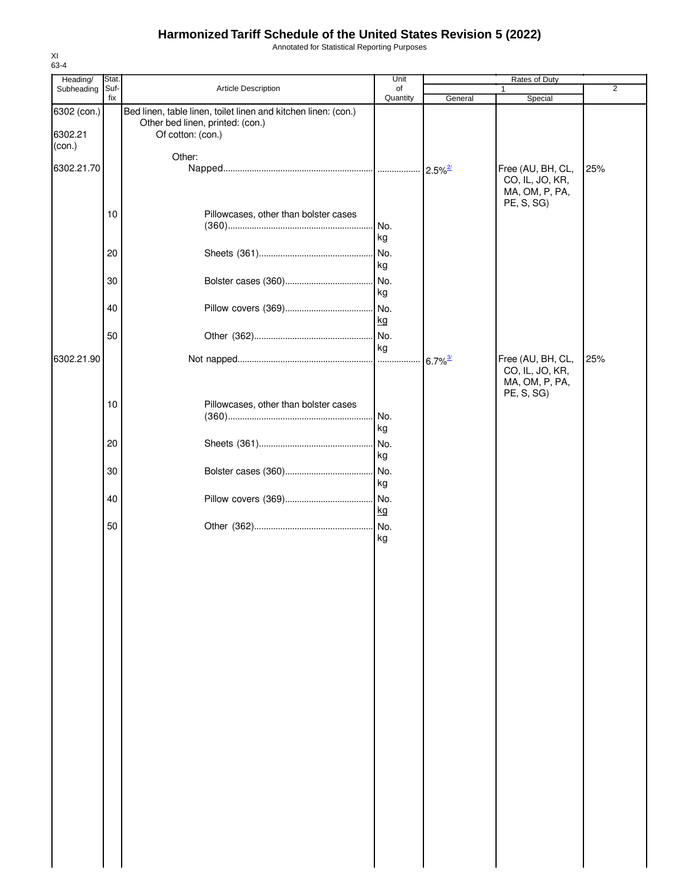Annotated for Statistical Reporting Purposes

| Heading/          | Stat. |                                                                | Unit      |                       | Rates of Duty                                                        |                |
|-------------------|-------|----------------------------------------------------------------|-----------|-----------------------|----------------------------------------------------------------------|----------------|
| Subheading        | Suf-  | Article Description                                            | of        |                       | 1                                                                    | $\overline{2}$ |
| 6302 (con.)       | fix   | Bed linen, table linen, toilet linen and kitchen linen: (con.) | Quantity  | General               | Special                                                              |                |
| 6302.21<br>(con.) |       | Other bed linen, printed: (con.)<br>Of cotton: (con.)          |           |                       |                                                                      |                |
|                   |       | Other:                                                         |           |                       |                                                                      |                |
| 6302.21.70        |       |                                                                |           |                       | Free (AU, BH, CL,<br>CO, IL, JO, KR,<br>MA, OM, P, PA,<br>PE, S, SG) | 25%            |
|                   | 10    | Pillowcases, other than bolster cases                          |           |                       |                                                                      |                |
|                   |       |                                                                | No.<br>kg |                       |                                                                      |                |
|                   | 20    |                                                                | No.       |                       |                                                                      |                |
|                   |       |                                                                | kg        |                       |                                                                      |                |
|                   |       |                                                                |           |                       |                                                                      |                |
|                   | 30    |                                                                | No.       |                       |                                                                      |                |
|                   |       |                                                                | kg        |                       |                                                                      |                |
|                   | 40    |                                                                | No.       |                       |                                                                      |                |
|                   |       |                                                                | kg        |                       |                                                                      |                |
|                   | 50    |                                                                | . No.     |                       |                                                                      |                |
|                   |       |                                                                | kg        |                       |                                                                      |                |
| 6302.21.90        |       |                                                                |           | $6.7\%$ <sup>3/</sup> | Free (AU, BH, CL,<br>CO, IL, JO, KR,<br>MA, OM, P, PA,<br>PE, S, SG) | 25%            |
|                   | 10    | Pillowcases, other than bolster cases                          |           |                       |                                                                      |                |
|                   |       |                                                                | No.       |                       |                                                                      |                |
|                   |       |                                                                | kg        |                       |                                                                      |                |
|                   |       |                                                                |           |                       |                                                                      |                |
|                   | 20    |                                                                | No.<br>kg |                       |                                                                      |                |
|                   |       |                                                                |           |                       |                                                                      |                |
|                   | 30    |                                                                | l No.     |                       |                                                                      |                |
|                   |       |                                                                | kg        |                       |                                                                      |                |
|                   | 40    |                                                                | No.       |                       |                                                                      |                |
|                   |       |                                                                | kg        |                       |                                                                      |                |
|                   | 50    |                                                                |           |                       |                                                                      |                |
|                   |       |                                                                | kg        |                       |                                                                      |                |
|                   |       |                                                                |           |                       |                                                                      |                |
|                   |       |                                                                |           |                       |                                                                      |                |
|                   |       |                                                                |           |                       |                                                                      |                |
|                   |       |                                                                |           |                       |                                                                      |                |
|                   |       |                                                                |           |                       |                                                                      |                |
|                   |       |                                                                |           |                       |                                                                      |                |
|                   |       |                                                                |           |                       |                                                                      |                |
|                   |       |                                                                |           |                       |                                                                      |                |
|                   |       |                                                                |           |                       |                                                                      |                |
|                   |       |                                                                |           |                       |                                                                      |                |
|                   |       |                                                                |           |                       |                                                                      |                |
|                   |       |                                                                |           |                       |                                                                      |                |
|                   |       |                                                                |           |                       |                                                                      |                |
|                   |       |                                                                |           |                       |                                                                      |                |
|                   |       |                                                                |           |                       |                                                                      |                |
|                   |       |                                                                |           |                       |                                                                      |                |
|                   |       |                                                                |           |                       |                                                                      |                |
|                   |       |                                                                |           |                       |                                                                      |                |
|                   |       |                                                                |           |                       |                                                                      |                |
|                   |       |                                                                |           |                       |                                                                      |                |
|                   |       |                                                                |           |                       |                                                                      |                |
|                   |       |                                                                |           |                       |                                                                      |                |
|                   |       |                                                                |           |                       |                                                                      |                |
|                   |       |                                                                |           |                       |                                                                      |                |
|                   |       |                                                                |           |                       |                                                                      |                |
|                   |       |                                                                |           |                       |                                                                      |                |
|                   |       |                                                                |           |                       |                                                                      |                |
|                   |       |                                                                |           |                       |                                                                      |                |
|                   |       |                                                                |           |                       |                                                                      |                |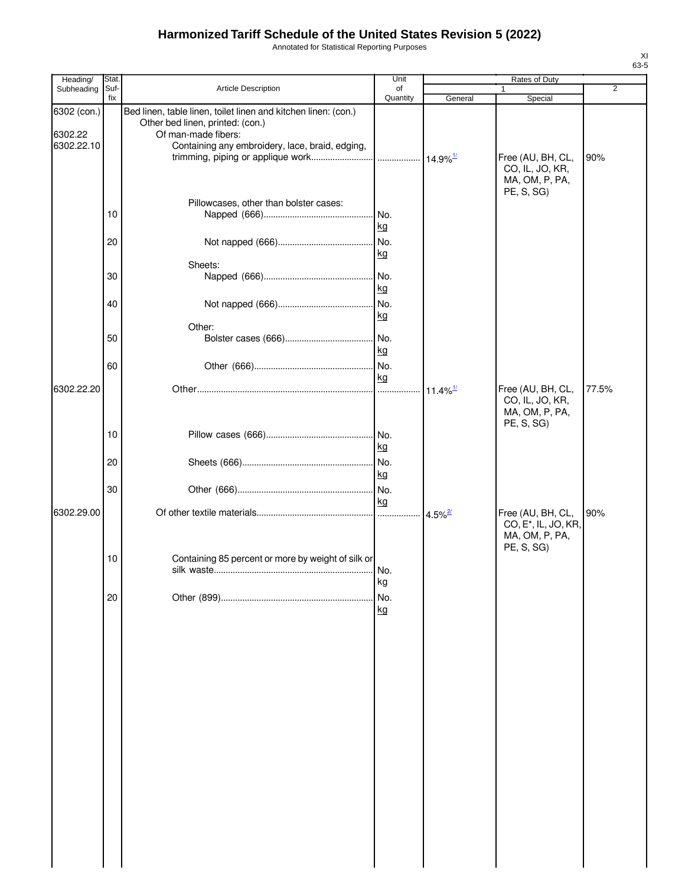Annotated for Statistical Reporting Purposes

| Heading/                             | Stat.       |                                                                                                                                                                              | Unit                 |                        | Rates of Duty                                                        |                |
|--------------------------------------|-------------|------------------------------------------------------------------------------------------------------------------------------------------------------------------------------|----------------------|------------------------|----------------------------------------------------------------------|----------------|
| Subheading                           | Suf-<br>fix | Article Description                                                                                                                                                          | of<br>Quantity       | General                | Special                                                              | $\overline{2}$ |
| 6302 (con.)<br>6302.22<br>6302.22.10 |             | Bed linen, table linen, toilet linen and kitchen linen: (con.)<br>Other bed linen, printed: (con.)<br>Of man-made fibers:<br>Containing any embroidery, lace, braid, edging, |                      |                        | Free (AU, BH, CL,                                                    | 90%            |
|                                      |             | Pillowcases, other than bolster cases:                                                                                                                                       |                      |                        | CO, IL, JO, KR,<br>MA, OM, P, PA,<br>PE, S, SG)                      |                |
|                                      | 10          |                                                                                                                                                                              | No.<br>kg            |                        |                                                                      |                |
|                                      | 20          | Sheets:                                                                                                                                                                      | No.<br><u>kg</u>     |                        |                                                                      |                |
|                                      | 30          |                                                                                                                                                                              | No.<br><u>kg</u>     |                        |                                                                      |                |
|                                      | 40          | Other:                                                                                                                                                                       | No.<br>kg            |                        |                                                                      |                |
|                                      | 50          |                                                                                                                                                                              | No.<br>kg            |                        |                                                                      |                |
| 6302.22.20                           | 60          |                                                                                                                                                                              | No.<br>kg            |                        |                                                                      |                |
|                                      |             |                                                                                                                                                                              | .                    | $11.4\%$ <sup>1/</sup> | Free (AU, BH, CL,<br>CO, IL, JO, KR,<br>MA, OM, P, PA,<br>PE, S, SG) | 77.5%          |
|                                      | 10          |                                                                                                                                                                              | <u>kg</u>            |                        |                                                                      |                |
|                                      | 20          |                                                                                                                                                                              | <u>kg</u><br>No.     |                        |                                                                      |                |
| 6302.29.00                           | 30          |                                                                                                                                                                              | kg<br>.              | $4.5\%$ <sup>2/</sup>  | Free (AU, BH, CL,                                                    | 90%            |
|                                      |             |                                                                                                                                                                              |                      |                        | CO, E <sup>*</sup> , IL, JO, KR,<br>MA, OM, P, PA,<br>PE, S, SG)     |                |
|                                      | 10          | Containing 85 percent or more by weight of silk or                                                                                                                           | N <sub>0</sub><br>kg |                        |                                                                      |                |
|                                      | 20          |                                                                                                                                                                              | No.<br>kg            |                        |                                                                      |                |
|                                      |             |                                                                                                                                                                              |                      |                        |                                                                      |                |
|                                      |             |                                                                                                                                                                              |                      |                        |                                                                      |                |
|                                      |             |                                                                                                                                                                              |                      |                        |                                                                      |                |
|                                      |             |                                                                                                                                                                              |                      |                        |                                                                      |                |
|                                      |             |                                                                                                                                                                              |                      |                        |                                                                      |                |
|                                      |             |                                                                                                                                                                              |                      |                        |                                                                      |                |
|                                      |             |                                                                                                                                                                              |                      |                        |                                                                      |                |
|                                      |             |                                                                                                                                                                              |                      |                        |                                                                      |                |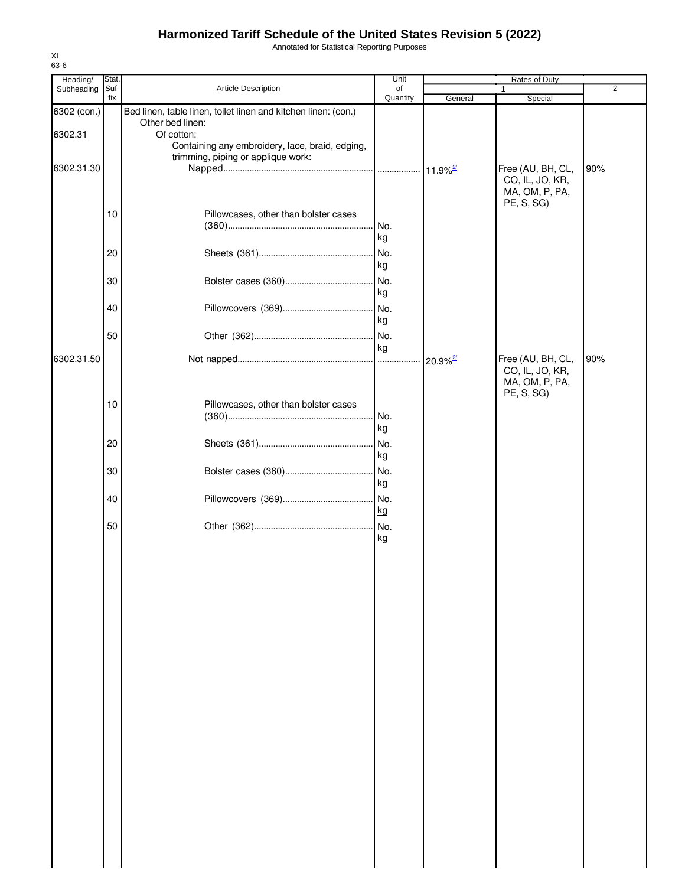Annotated for Statistical Reporting Purposes

| Heading/    | Stat. |                                                                | Unit     |                        | Rates of Duty                |                |
|-------------|-------|----------------------------------------------------------------|----------|------------------------|------------------------------|----------------|
| Subheading  | Suf-  | Article Description                                            | of       |                        | 1                            | $\overline{2}$ |
|             | fix   |                                                                | Quantity | General                | Special                      |                |
| 6302 (con.) |       | Bed linen, table linen, toilet linen and kitchen linen: (con.) |          |                        |                              |                |
| 6302.31     |       | Other bed linen:<br>Of cotton:                                 |          |                        |                              |                |
|             |       | Containing any embroidery, lace, braid, edging,                |          |                        |                              |                |
|             |       | trimming, piping or applique work:                             |          |                        |                              |                |
| 6302.31.30  |       |                                                                |          |                        | Free (AU, BH, CL,            | 90%            |
|             |       |                                                                |          |                        | CO, IL, JO, KR,              |                |
|             |       |                                                                |          |                        | MA, OM, P, PA,               |                |
|             |       |                                                                |          |                        | PE, S, SG)                   |                |
|             | 10    | Pillowcases, other than bolster cases                          |          |                        |                              |                |
|             |       |                                                                | No.      |                        |                              |                |
|             |       |                                                                | kg       |                        |                              |                |
|             | 20    |                                                                | No.      |                        |                              |                |
|             |       |                                                                | kg       |                        |                              |                |
|             | 30    |                                                                | No.      |                        |                              |                |
|             |       |                                                                | kg       |                        |                              |                |
|             | 40    |                                                                | No.      |                        |                              |                |
|             |       |                                                                |          |                        |                              |                |
|             |       |                                                                | kg       |                        |                              |                |
|             | 50    |                                                                | No.      |                        |                              |                |
|             |       |                                                                | kg       |                        |                              |                |
| 6302.31.50  |       |                                                                |          | $20.9\%$ <sup>2/</sup> | Free (AU, BH, CL,            | 90%            |
|             |       |                                                                |          |                        | CO, IL, JO, KR,              |                |
|             |       |                                                                |          |                        | MA, OM, P, PA,<br>PE, S, SG) |                |
|             | 10    | Pillowcases, other than bolster cases                          |          |                        |                              |                |
|             |       |                                                                | No.      |                        |                              |                |
|             |       |                                                                | kg       |                        |                              |                |
|             |       |                                                                |          |                        |                              |                |
|             | 20    |                                                                | No.      |                        |                              |                |
|             |       |                                                                | kg       |                        |                              |                |
|             | 30    |                                                                | No.      |                        |                              |                |
|             |       |                                                                | kg       |                        |                              |                |
|             | 40    |                                                                | No.      |                        |                              |                |
|             |       |                                                                | kg       |                        |                              |                |
|             | 50    |                                                                | No.      |                        |                              |                |
|             |       |                                                                | kg       |                        |                              |                |
|             |       |                                                                |          |                        |                              |                |
|             |       |                                                                |          |                        |                              |                |
|             |       |                                                                |          |                        |                              |                |
|             |       |                                                                |          |                        |                              |                |
|             |       |                                                                |          |                        |                              |                |
|             |       |                                                                |          |                        |                              |                |
|             |       |                                                                |          |                        |                              |                |
|             |       |                                                                |          |                        |                              |                |
|             |       |                                                                |          |                        |                              |                |
|             |       |                                                                |          |                        |                              |                |
|             |       |                                                                |          |                        |                              |                |
|             |       |                                                                |          |                        |                              |                |
|             |       |                                                                |          |                        |                              |                |
|             |       |                                                                |          |                        |                              |                |
|             |       |                                                                |          |                        |                              |                |
|             |       |                                                                |          |                        |                              |                |
|             |       |                                                                |          |                        |                              |                |
|             |       |                                                                |          |                        |                              |                |
|             |       |                                                                |          |                        |                              |                |
|             |       |                                                                |          |                        |                              |                |
|             |       |                                                                |          |                        |                              |                |
|             |       |                                                                |          |                        |                              |                |
|             |       |                                                                |          |                        |                              |                |
|             |       |                                                                |          |                        |                              |                |
|             |       |                                                                |          |                        |                              |                |
|             |       |                                                                |          |                        |                              |                |
|             |       |                                                                |          |                        |                              |                |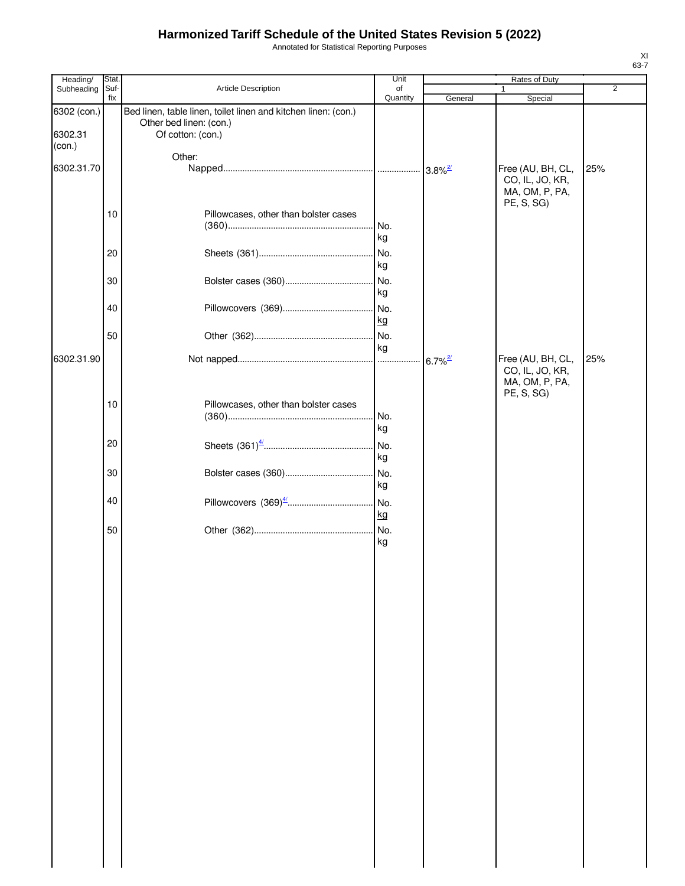Annotated for Statistical Reporting Purposes

| Heading/                         | Stat.       |                                                                                                                | Unit           |         | Rates of Duty                                                        |     |
|----------------------------------|-------------|----------------------------------------------------------------------------------------------------------------|----------------|---------|----------------------------------------------------------------------|-----|
| Subheading                       | Suf-<br>fix | Article Description                                                                                            | of<br>Quantity | General | $\mathbf{1}$<br>Special                                              | 2   |
| 6302 (con.)<br>6302.31<br>(con.) |             | Bed linen, table linen, toilet linen and kitchen linen: (con.)<br>Other bed linen: (con.)<br>Of cotton: (con.) |                |         |                                                                      |     |
| 6302.31.70                       |             | Other:                                                                                                         |                |         | Free (AU, BH, CL,<br>CO, IL, JO, KR,<br>MA, OM, P, PA,               | 25% |
|                                  | 10          | Pillowcases, other than bolster cases                                                                          | kg             |         | PE, S, SG)                                                           |     |
|                                  | 20          |                                                                                                                | No.<br>kg      |         |                                                                      |     |
|                                  | 30          |                                                                                                                | No.<br>kg      |         |                                                                      |     |
|                                  | 40          |                                                                                                                | <u>kg</u>      |         |                                                                      |     |
|                                  | 50          |                                                                                                                | kg             |         |                                                                      |     |
| 6302.31.90                       |             |                                                                                                                |                |         | Free (AU, BH, CL,<br>CO, IL, JO, KR,<br>MA, OM, P, PA,<br>PE, S, SG) | 25% |
|                                  | 10          | Pillowcases, other than bolster cases                                                                          | No.<br>kg      |         |                                                                      |     |
|                                  | 20          |                                                                                                                | kg             |         |                                                                      |     |
|                                  | 30          |                                                                                                                | kg             |         |                                                                      |     |
|                                  | 40          |                                                                                                                | <u>kg</u>      |         |                                                                      |     |
|                                  | 50          |                                                                                                                | kg             |         |                                                                      |     |
|                                  |             |                                                                                                                |                |         |                                                                      |     |
|                                  |             |                                                                                                                |                |         |                                                                      |     |
|                                  |             |                                                                                                                |                |         |                                                                      |     |
|                                  |             |                                                                                                                |                |         |                                                                      |     |
|                                  |             |                                                                                                                |                |         |                                                                      |     |
|                                  |             |                                                                                                                |                |         |                                                                      |     |
|                                  |             |                                                                                                                |                |         |                                                                      |     |
|                                  |             |                                                                                                                |                |         |                                                                      |     |
|                                  |             |                                                                                                                |                |         |                                                                      |     |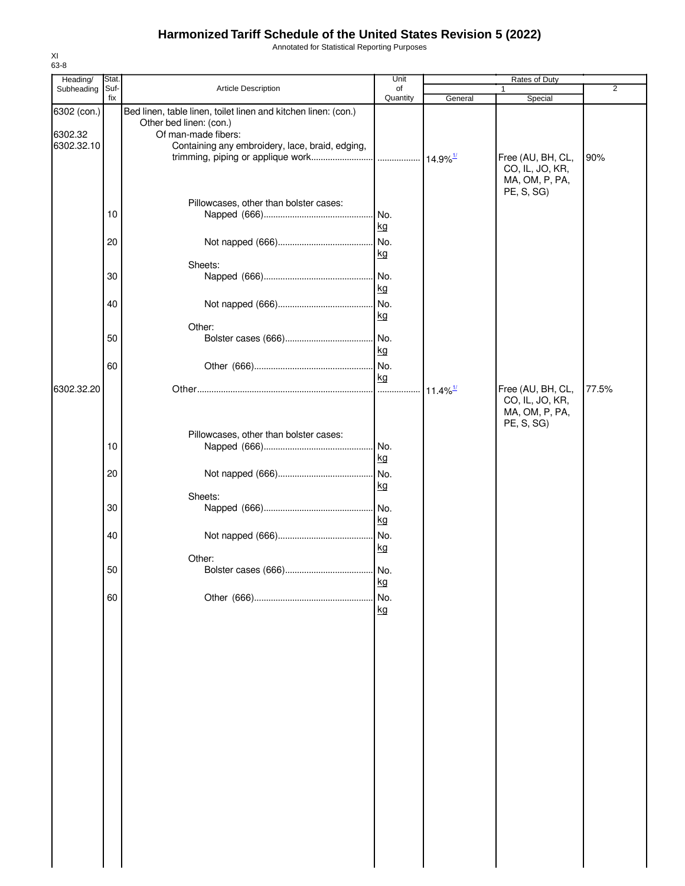Annotated for Statistical Reporting Purposes

| Heading/               | Stat.       |                                                                                                                  | Unit             |                        | Rates of Duty                                          |                |
|------------------------|-------------|------------------------------------------------------------------------------------------------------------------|------------------|------------------------|--------------------------------------------------------|----------------|
| Subheading             | Suf-<br>fix | Article Description                                                                                              | of<br>Quantity   | General                | 1<br>Special                                           | $\overline{2}$ |
| 6302 (con.)<br>6302.32 |             | Bed linen, table linen, toilet linen and kitchen linen: (con.)<br>Other bed linen: (con.)<br>Of man-made fibers: |                  |                        |                                                        |                |
| 6302.32.10             |             | Containing any embroidery, lace, braid, edging,                                                                  |                  |                        | Free (AU, BH, CL,<br>CO, IL, JO, KR,<br>MA, OM, P, PA, | 90%            |
|                        | 10          | Pillowcases, other than bolster cases:                                                                           | No.              |                        | PE, S, SG)                                             |                |
|                        | 20          |                                                                                                                  | kg<br>No.<br>kg  |                        |                                                        |                |
|                        | 30          | Sheets:                                                                                                          | No.              |                        |                                                        |                |
|                        | 40          |                                                                                                                  | kg<br>No.        |                        |                                                        |                |
|                        |             | Other:                                                                                                           | kg               |                        |                                                        |                |
|                        | 50<br>60    |                                                                                                                  | No.<br>kg<br>No. |                        |                                                        |                |
| 6302.32.20             |             |                                                                                                                  | kg               | $11.4\%$ <sup>1/</sup> | Free (AU, BH, CL,                                      | 77.5%          |
|                        |             |                                                                                                                  |                  |                        | CO, IL, JO, KR,<br>MA, OM, P, PA,<br>PE, S, SG)        |                |
|                        | 10          | Pillowcases, other than bolster cases:                                                                           | No.              |                        |                                                        |                |
|                        | 20          |                                                                                                                  | kg               |                        |                                                        |                |
|                        |             | Sheets:                                                                                                          | kg               |                        |                                                        |                |
|                        | 30          |                                                                                                                  | No.<br>kg        |                        |                                                        |                |
|                        | 40          |                                                                                                                  | No.<br>kg        |                        |                                                        |                |
|                        | 50          | Other:                                                                                                           | kg               |                        |                                                        |                |
|                        | 60          |                                                                                                                  | No.<br>kg        |                        |                                                        |                |
|                        |             |                                                                                                                  |                  |                        |                                                        |                |
|                        |             |                                                                                                                  |                  |                        |                                                        |                |
|                        |             |                                                                                                                  |                  |                        |                                                        |                |
|                        |             |                                                                                                                  |                  |                        |                                                        |                |
|                        |             |                                                                                                                  |                  |                        |                                                        |                |
|                        |             |                                                                                                                  |                  |                        |                                                        |                |
|                        |             |                                                                                                                  |                  |                        |                                                        |                |
|                        |             |                                                                                                                  |                  |                        |                                                        |                |
|                        |             |                                                                                                                  |                  |                        |                                                        |                |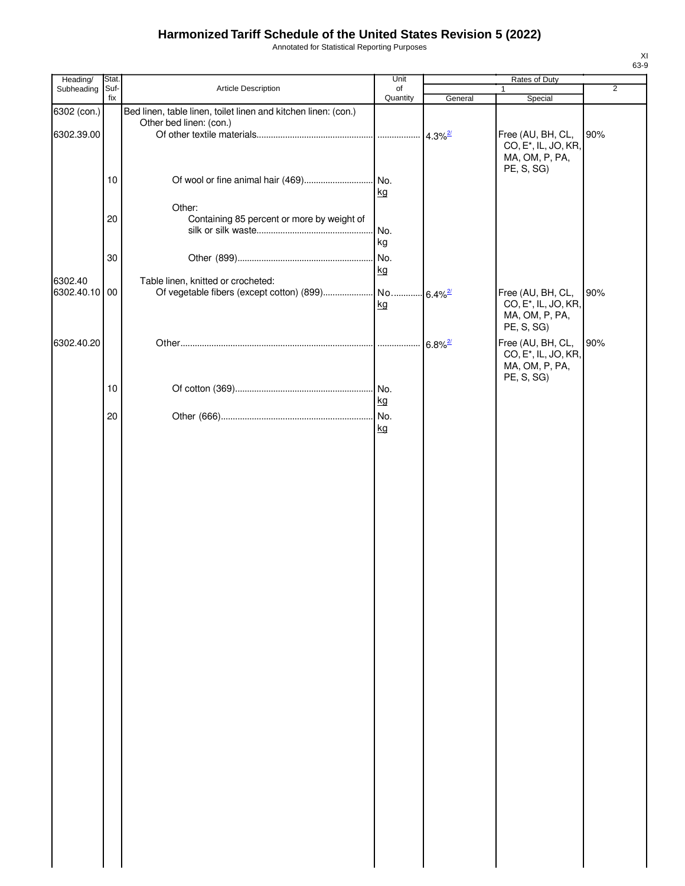Annotated for Statistical Reporting Purposes

| Heading/      | Stat.       |                                                                | Unit           |                       | Rates of Duty                                         |                |
|---------------|-------------|----------------------------------------------------------------|----------------|-----------------------|-------------------------------------------------------|----------------|
| Subheading    | Suf-<br>fix | Article Description                                            | of<br>Quantity | General               | $\mathbf{1}$<br>Special                               | $\overline{2}$ |
| 6302 (con.)   |             | Bed linen, table linen, toilet linen and kitchen linen: (con.) |                |                       |                                                       |                |
|               |             | Other bed linen: (con.)                                        |                |                       |                                                       |                |
| 6302.39.00    |             |                                                                |                | $4.3\%$ <sup>2/</sup> | Free (AU, BH, CL,                                     | 90%            |
|               |             |                                                                |                |                       | CO, E <sup>*</sup> , IL, JO, KR,<br>MA, OM, P, PA,    |                |
|               |             |                                                                |                |                       | PE, S, SG)                                            |                |
|               | 10          |                                                                |                |                       |                                                       |                |
|               |             |                                                                | kg             |                       |                                                       |                |
|               |             | Other:                                                         |                |                       |                                                       |                |
|               | 20          | Containing 85 percent or more by weight of                     | No.            |                       |                                                       |                |
|               |             |                                                                | kg             |                       |                                                       |                |
|               | 30          |                                                                | No.            |                       |                                                       |                |
|               |             |                                                                | kg             |                       |                                                       |                |
| 6302.40       |             | Table linen, knitted or crocheted:                             |                |                       |                                                       |                |
| 6302.40.10 00 |             |                                                                |                | $6.4\%$ <sup>2/</sup> | Free (AU, BH, CL,<br>CO, E <sup>*</sup> , IL, JO, KR, | 90%            |
|               |             |                                                                | kg             |                       | MA, OM, P, PA,                                        |                |
|               |             |                                                                |                |                       | PE, S, SG)                                            |                |
| 6302.40.20    |             |                                                                |                | $6.8\%$ <sup>2/</sup> | Free (AU, BH, CL,                                     | 90%            |
|               |             |                                                                |                |                       | CO, E <sup>*</sup> , IL, JO, KR,                      |                |
|               |             |                                                                |                |                       | MA, OM, P, PA,<br>PE, S, SG)                          |                |
|               | 10          |                                                                |                |                       |                                                       |                |
|               |             |                                                                | kg             |                       |                                                       |                |
|               | 20          |                                                                |                |                       |                                                       |                |
|               |             |                                                                | kg             |                       |                                                       |                |
|               |             |                                                                |                |                       |                                                       |                |
|               |             |                                                                |                |                       |                                                       |                |
|               |             |                                                                |                |                       |                                                       |                |
|               |             |                                                                |                |                       |                                                       |                |
|               |             |                                                                |                |                       |                                                       |                |
|               |             |                                                                |                |                       |                                                       |                |
|               |             |                                                                |                |                       |                                                       |                |
|               |             |                                                                |                |                       |                                                       |                |
|               |             |                                                                |                |                       |                                                       |                |
|               |             |                                                                |                |                       |                                                       |                |
|               |             |                                                                |                |                       |                                                       |                |
|               |             |                                                                |                |                       |                                                       |                |
|               |             |                                                                |                |                       |                                                       |                |
|               |             |                                                                |                |                       |                                                       |                |
|               |             |                                                                |                |                       |                                                       |                |
|               |             |                                                                |                |                       |                                                       |                |
|               |             |                                                                |                |                       |                                                       |                |
|               |             |                                                                |                |                       |                                                       |                |
|               |             |                                                                |                |                       |                                                       |                |
|               |             |                                                                |                |                       |                                                       |                |
|               |             |                                                                |                |                       |                                                       |                |
|               |             |                                                                |                |                       |                                                       |                |
|               |             |                                                                |                |                       |                                                       |                |
|               |             |                                                                |                |                       |                                                       |                |
|               |             |                                                                |                |                       |                                                       |                |
|               |             |                                                                |                |                       |                                                       |                |
|               |             |                                                                |                |                       |                                                       |                |
|               |             |                                                                |                |                       |                                                       |                |
|               |             |                                                                |                |                       |                                                       |                |
|               |             |                                                                |                |                       |                                                       |                |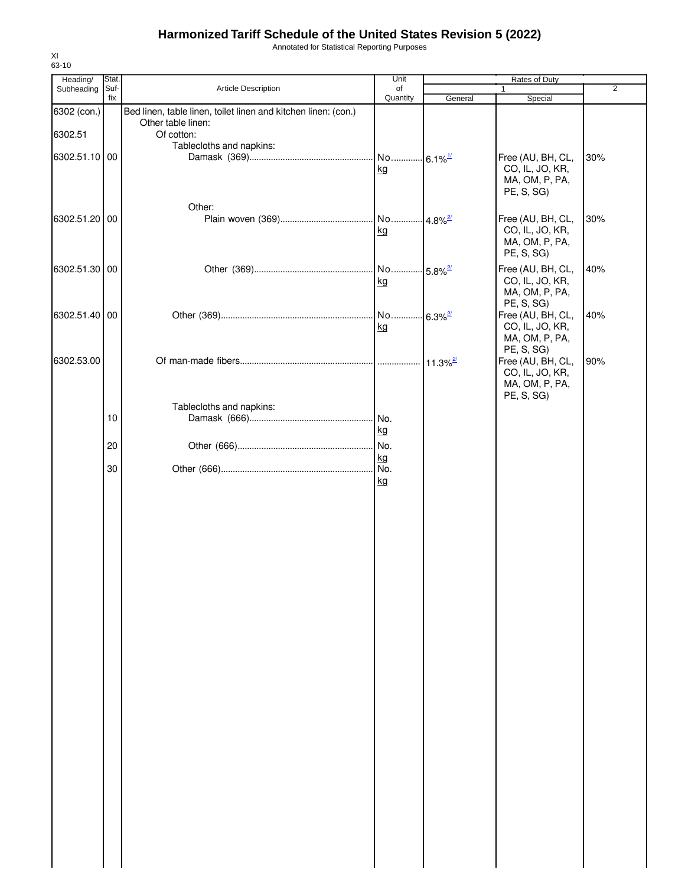Annotated for Statistical Reporting Purposes

| Heading/      | Stat.       |                                                                                      | Unit                        |                        | Rates of Duty                                                                      |                |
|---------------|-------------|--------------------------------------------------------------------------------------|-----------------------------|------------------------|------------------------------------------------------------------------------------|----------------|
| Subheading    | Suf-<br>fix | Article Description                                                                  | of<br>Quantity              |                        | 1                                                                                  | $\overline{2}$ |
| 6302 (con.)   |             | Bed linen, table linen, toilet linen and kitchen linen: (con.)<br>Other table linen: |                             | General                | Special                                                                            |                |
| 6302.51       |             | Of cotton:                                                                           |                             |                        |                                                                                    |                |
|               |             | Tablecloths and napkins:                                                             |                             |                        |                                                                                    |                |
| 6302.51.10 00 |             |                                                                                      | No 6.1% <sup>1/</sup><br>kg |                        | Free (AU, BH, CL,<br>CO, IL, JO, KR,<br>MA, OM, P, PA,<br>PE, S, SG)               | 30%            |
| 6302.51.20 00 |             | Other:                                                                               | No 4.8% <sup>2/</sup><br>kg |                        | Free (AU, BH, CL,<br>CO, IL, JO, KR,<br>MA, OM, P, PA,<br>PE, S, SG)               | 30%            |
| 6302.51.30 00 |             |                                                                                      | No 5.8% <sup>27</sup><br>kg |                        | Free (AU, BH, CL,<br>CO, IL, JO, KR,<br>MA, OM, P, PA,                             | 40%            |
| 6302.51.40 00 |             |                                                                                      | No<br>kg                    | $-6.3\%$ <sup>2/</sup> | PE, S, SG)<br>Free (AU, BH, CL,<br>CO, IL, JO, KR,<br>MA, OM, P, PA,               | 40%            |
| 6302.53.00    |             |                                                                                      |                             |                        | PE, S, SG)<br>Free (AU, BH, CL,<br>CO, IL, JO, KR,<br>MA, OM, P, PA,<br>PE, S, SG) | 90%            |
|               | 10          | Tablecloths and napkins:                                                             | No.<br>kg                   |                        |                                                                                    |                |
|               | 20          |                                                                                      | No.                         |                        |                                                                                    |                |
|               |             |                                                                                      | kg                          |                        |                                                                                    |                |
|               | 30          |                                                                                      | No.                         |                        |                                                                                    |                |
|               |             |                                                                                      | kg                          |                        |                                                                                    |                |
|               |             |                                                                                      |                             |                        |                                                                                    |                |
|               |             |                                                                                      |                             |                        |                                                                                    |                |
|               |             |                                                                                      |                             |                        |                                                                                    |                |
|               |             |                                                                                      |                             |                        |                                                                                    |                |
|               |             |                                                                                      |                             |                        |                                                                                    |                |
|               |             |                                                                                      |                             |                        |                                                                                    |                |
|               |             |                                                                                      |                             |                        |                                                                                    |                |
|               |             |                                                                                      |                             |                        |                                                                                    |                |
|               |             |                                                                                      |                             |                        |                                                                                    |                |
|               |             |                                                                                      |                             |                        |                                                                                    |                |
|               |             |                                                                                      |                             |                        |                                                                                    |                |
|               |             |                                                                                      |                             |                        |                                                                                    |                |
|               |             |                                                                                      |                             |                        |                                                                                    |                |
|               |             |                                                                                      |                             |                        |                                                                                    |                |
|               |             |                                                                                      |                             |                        |                                                                                    |                |
|               |             |                                                                                      |                             |                        |                                                                                    |                |
|               |             |                                                                                      |                             |                        |                                                                                    |                |
|               |             |                                                                                      |                             |                        |                                                                                    |                |
|               |             |                                                                                      |                             |                        |                                                                                    |                |
|               |             |                                                                                      |                             |                        |                                                                                    |                |
|               |             |                                                                                      |                             |                        |                                                                                    |                |
|               |             |                                                                                      |                             |                        |                                                                                    |                |
|               |             |                                                                                      |                             |                        |                                                                                    |                |
|               |             |                                                                                      |                             |                        |                                                                                    |                |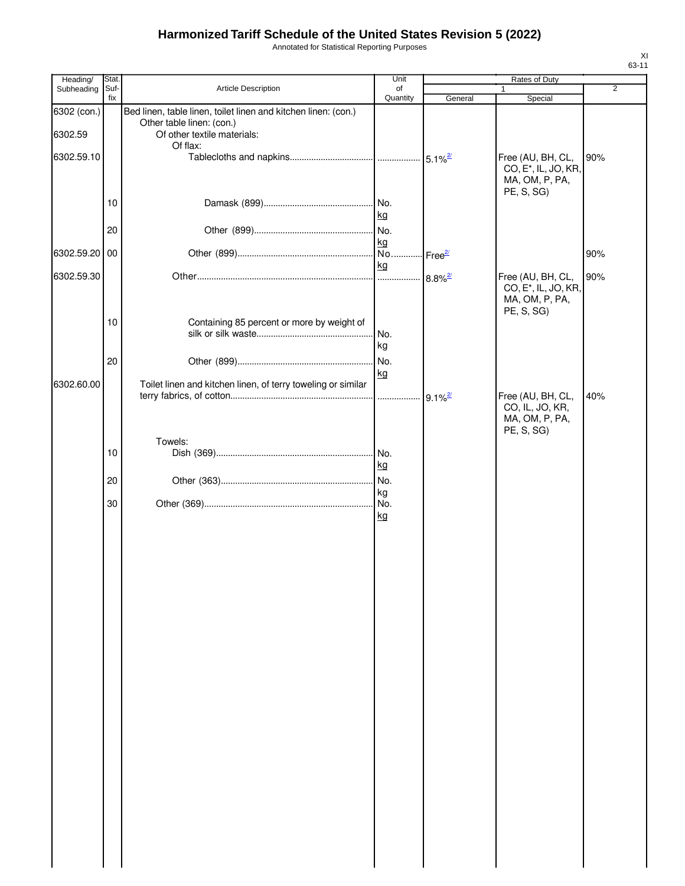Annotated for Statistical Reporting Purposes

| Heading/               | Stat.       |                                                                                                                                        | Unit                   |                       | Rates of Duty                                                                         |                |
|------------------------|-------------|----------------------------------------------------------------------------------------------------------------------------------------|------------------------|-----------------------|---------------------------------------------------------------------------------------|----------------|
| Subheading             | Suf-<br>fix | <b>Article Description</b>                                                                                                             | of<br>Quantity         | General               | $\mathbf{1}$<br>Special                                                               | $\overline{2}$ |
| 6302 (con.)<br>6302.59 |             | Bed linen, table linen, toilet linen and kitchen linen: (con.)<br>Other table linen: (con.)<br>Of other textile materials:<br>Of flax: |                        |                       |                                                                                       |                |
| 6302.59.10             |             |                                                                                                                                        |                        |                       | Free (AU, BH, CL,<br>CO, E <sup>*</sup> , IL, JO, KR,<br>MA, OM, P, PA,<br>PE, S, SG) | 90%            |
|                        | 10          |                                                                                                                                        | No.<br>kg              |                       |                                                                                       |                |
|                        | 20          |                                                                                                                                        | No.<br>kg              |                       |                                                                                       |                |
| 6302.59.20 00          |             |                                                                                                                                        | No.<br>kg              | Free $\frac{27}{2}$   |                                                                                       | 90%            |
| 6302.59.30             |             |                                                                                                                                        | .                      | $8.8\%$ <sup>2/</sup> | Free (AU, BH, CL,<br>CO, E <sup>*</sup> , IL, JO, KR,<br>MA, OM, P, PA,<br>PE, S, SG) | 90%            |
|                        | 10          | Containing 85 percent or more by weight of                                                                                             | No.<br>kg              |                       |                                                                                       |                |
|                        | 20          |                                                                                                                                        | No.<br>kg              |                       |                                                                                       |                |
| 6302.60.00             |             | Toilet linen and kitchen linen, of terry toweling or similar                                                                           | .                      | $9.1\%$ <sup>2/</sup> | Free (AU, BH, CL,<br>CO, IL, JO, KR,                                                  | 40%            |
|                        |             |                                                                                                                                        |                        |                       | MA, OM, P, PA,<br>PE, S, SG)                                                          |                |
|                        | 10          | Towels:                                                                                                                                | No.                    |                       |                                                                                       |                |
|                        | 20          |                                                                                                                                        | kg<br>No.              |                       |                                                                                       |                |
|                        | 30          |                                                                                                                                        | kg<br>No.<br><u>kg</u> |                       |                                                                                       |                |
|                        |             |                                                                                                                                        |                        |                       |                                                                                       |                |
|                        |             |                                                                                                                                        |                        |                       |                                                                                       |                |
|                        |             |                                                                                                                                        |                        |                       |                                                                                       |                |
|                        |             |                                                                                                                                        |                        |                       |                                                                                       |                |
|                        |             |                                                                                                                                        |                        |                       |                                                                                       |                |
|                        |             |                                                                                                                                        |                        |                       |                                                                                       |                |
|                        |             |                                                                                                                                        |                        |                       |                                                                                       |                |
|                        |             |                                                                                                                                        |                        |                       |                                                                                       |                |
|                        |             |                                                                                                                                        |                        |                       |                                                                                       |                |
|                        |             |                                                                                                                                        |                        |                       |                                                                                       |                |
|                        |             |                                                                                                                                        |                        |                       |                                                                                       |                |
|                        |             |                                                                                                                                        |                        |                       |                                                                                       |                |
|                        |             |                                                                                                                                        |                        |                       |                                                                                       |                |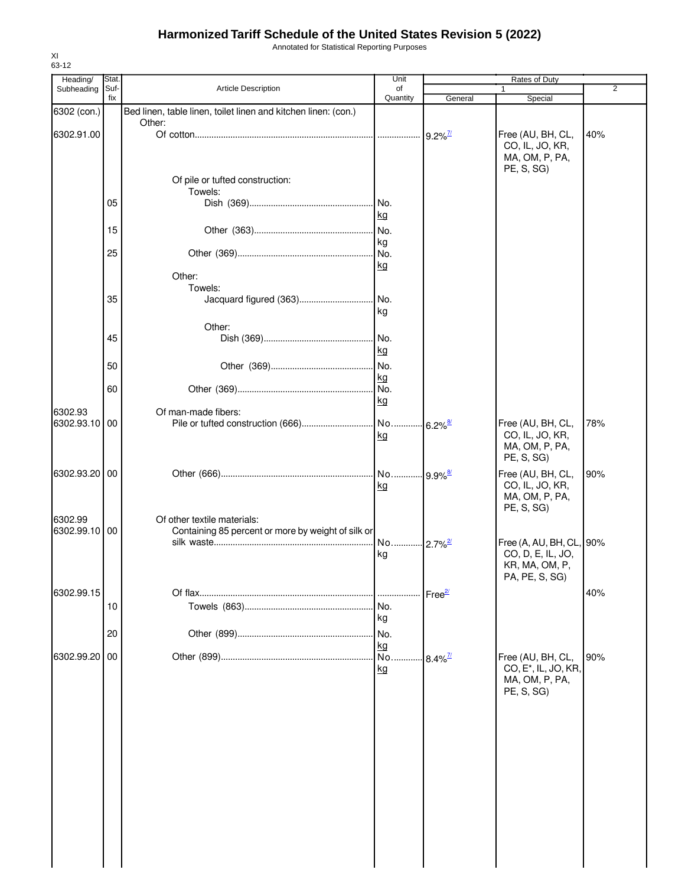Annotated for Statistical Reporting Purposes

| Heading/<br>Subheading | Stat.<br>Suf- | <b>Article Description</b>                                     | Unit<br>of |                        | Rates of Duty                    | $\overline{2}$ |
|------------------------|---------------|----------------------------------------------------------------|------------|------------------------|----------------------------------|----------------|
|                        | fix           |                                                                | Quantity   | General                | Special                          |                |
| 6302 (con.)            |               | Bed linen, table linen, toilet linen and kitchen linen: (con.) |            |                        |                                  |                |
|                        |               | Other:                                                         |            |                        |                                  |                |
| 6302.91.00             |               |                                                                |            | $9.2\%$ <sup>7/</sup>  | Free (AU, BH, CL,                | 40%            |
|                        |               |                                                                |            |                        | CO, IL, JO, KR,                  |                |
|                        |               |                                                                |            |                        | MA, OM, P, PA,                   |                |
|                        |               |                                                                |            |                        | PE, S, SG)                       |                |
|                        |               | Of pile or tufted construction:                                |            |                        |                                  |                |
|                        |               | Towels:                                                        |            |                        |                                  |                |
|                        | 05            |                                                                | No.        |                        |                                  |                |
|                        |               |                                                                | kg         |                        |                                  |                |
|                        | 15            |                                                                | No.        |                        |                                  |                |
|                        |               |                                                                | kg         |                        |                                  |                |
|                        | 25            |                                                                | No.        |                        |                                  |                |
|                        |               |                                                                | kg         |                        |                                  |                |
|                        |               | Other:                                                         |            |                        |                                  |                |
|                        |               | Towels:                                                        |            |                        |                                  |                |
|                        | 35            | Jacquard figured (363)                                         | No.        |                        |                                  |                |
|                        |               |                                                                | kg         |                        |                                  |                |
|                        |               | Other:                                                         |            |                        |                                  |                |
|                        | 45            |                                                                | No.        |                        |                                  |                |
|                        |               |                                                                | kg         |                        |                                  |                |
|                        | 50            |                                                                | No.        |                        |                                  |                |
|                        |               |                                                                | kg         |                        |                                  |                |
|                        | 60            |                                                                | No.        |                        |                                  |                |
|                        |               |                                                                | kg         |                        |                                  |                |
| 6302.93                |               | Of man-made fibers:                                            |            |                        |                                  |                |
| 6302.93.10             | 00            |                                                                | No         | $6.2\%$ <sup>8/</sup>  | Free (AU, BH, CL,                | 78%            |
|                        |               |                                                                | kg         |                        | CO, IL, JO, KR,                  |                |
|                        |               |                                                                |            |                        | MA, OM, P, PA,                   |                |
|                        |               |                                                                |            |                        | PE, S, SG)                       |                |
| 6302.93.20 00          |               |                                                                | No         | $.9.9\%$ <sup>8/</sup> | Free (AU, BH, CL,                | 90%            |
|                        |               |                                                                | kg         |                        | CO, IL, JO, KR,                  |                |
|                        |               |                                                                |            |                        | MA, OM, P, PA,                   |                |
|                        |               |                                                                |            |                        | PE, S, SG)                       |                |
| 6302.99                |               | Of other textile materials:                                    |            |                        |                                  |                |
| 6302.99.10             | 00            | Containing 85 percent or more by weight of silk or             |            |                        |                                  |                |
|                        |               |                                                                | No         | $2.7\%$ <sup>2/</sup>  | Free (A, AU, BH, CL, 90%         |                |
|                        |               |                                                                | kg         |                        | CO, D, E, IL, JO,                |                |
|                        |               |                                                                |            |                        | KR, MA, OM, P,                   |                |
|                        |               |                                                                |            |                        | PA, PE, S, SG)                   |                |
| 6302.99.15             |               |                                                                |            | Free <sup>2/</sup>     |                                  | 40%            |
|                        | 10            |                                                                | No.        |                        |                                  |                |
|                        |               |                                                                | kg         |                        |                                  |                |
|                        | 20            |                                                                | No.        |                        |                                  |                |
|                        |               |                                                                | kg         |                        |                                  |                |
| 6302.99.20             | 00            |                                                                | No.        | $8.4\%$ <sup>7/</sup>  | Free (AU, BH, CL,                | 90%            |
|                        |               |                                                                | kg         |                        | CO, E <sup>*</sup> , IL, JO, KR, |                |
|                        |               |                                                                |            |                        | MA, OM, P, PA,                   |                |
|                        |               |                                                                |            |                        | PE, S, SG)                       |                |
|                        |               |                                                                |            |                        |                                  |                |
|                        |               |                                                                |            |                        |                                  |                |
|                        |               |                                                                |            |                        |                                  |                |
|                        |               |                                                                |            |                        |                                  |                |
|                        |               |                                                                |            |                        |                                  |                |
|                        |               |                                                                |            |                        |                                  |                |
|                        |               |                                                                |            |                        |                                  |                |
|                        |               |                                                                |            |                        |                                  |                |
|                        |               |                                                                |            |                        |                                  |                |
|                        |               |                                                                |            |                        |                                  |                |
|                        |               |                                                                |            |                        |                                  |                |
|                        |               |                                                                |            |                        |                                  |                |
|                        |               |                                                                |            |                        |                                  |                |
|                        |               |                                                                |            |                        |                                  |                |
|                        |               |                                                                |            |                        |                                  |                |

XI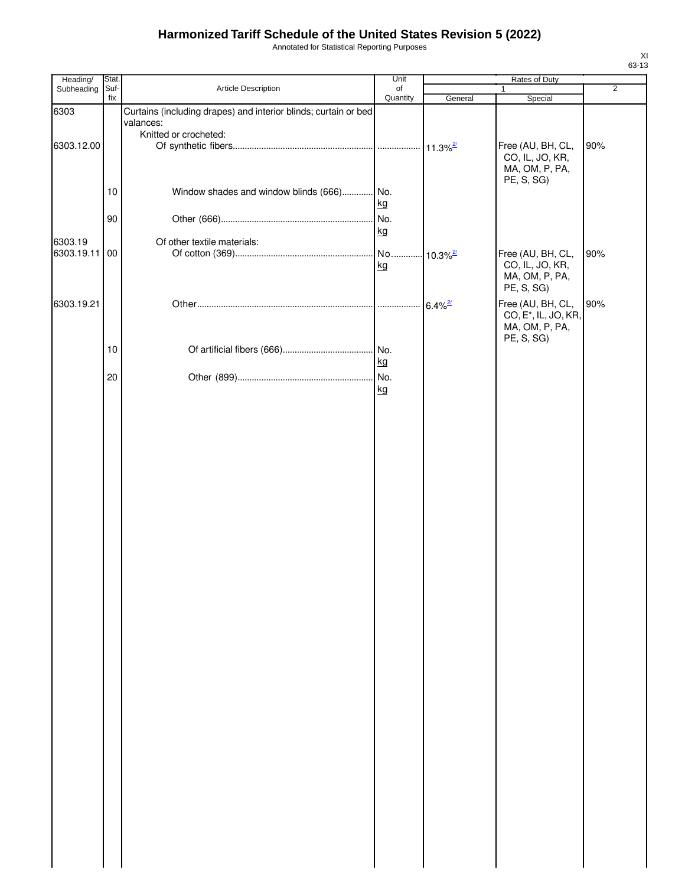Annotated for Statistical Reporting Purposes

| Heading/   | Stat.       |                                                                 | Unit           |                        | Rates of Duty                                                    |                |
|------------|-------------|-----------------------------------------------------------------|----------------|------------------------|------------------------------------------------------------------|----------------|
| Subheading | Suf-<br>fix | Article Description                                             | of<br>Quantity | General                | $\mathbf{1}$<br>Special                                          | $\overline{2}$ |
| 6303       |             | Curtains (including drapes) and interior blinds; curtain or bed |                |                        |                                                                  |                |
|            |             | valances:                                                       |                |                        |                                                                  |                |
| 6303.12.00 |             | Knitted or crocheted:                                           |                |                        | Free (AU, BH, CL,                                                | 90%            |
|            |             |                                                                 |                |                        | CO, IL, JO, KR,<br>MA, OM, P, PA,<br>PE, S, SG)                  |                |
|            | 10          | Window shades and window blinds (666) No.                       | kg             |                        |                                                                  |                |
|            | 90          |                                                                 |                |                        |                                                                  |                |
|            |             |                                                                 | kg             |                        |                                                                  |                |
| 6303.19    |             | Of other textile materials:                                     |                |                        |                                                                  |                |
| 6303.19.11 | 00          |                                                                 | kg             | $10.3\%$ <sup>2/</sup> | Free (AU, BH, CL,<br>CO, IL, JO, KR,                             | 90%            |
|            |             |                                                                 |                |                        | MA, OM, P, PA,<br>PE, S, SG)                                     |                |
| 6303.19.21 |             |                                                                 |                | $6.4\%$ <sup>2/</sup>  | Free (AU, BH, CL,                                                | 90%            |
|            |             |                                                                 |                |                        | CO, E <sup>*</sup> , IL, JO, KR,<br>MA, OM, P, PA,<br>PE, S, SG) |                |
|            | 10          |                                                                 |                |                        |                                                                  |                |
|            |             |                                                                 | kg             |                        |                                                                  |                |
|            | 20          |                                                                 |                |                        |                                                                  |                |
|            |             |                                                                 | kg             |                        |                                                                  |                |
|            |             |                                                                 |                |                        |                                                                  |                |
|            |             |                                                                 |                |                        |                                                                  |                |
|            |             |                                                                 |                |                        |                                                                  |                |
|            |             |                                                                 |                |                        |                                                                  |                |
|            |             |                                                                 |                |                        |                                                                  |                |
|            |             |                                                                 |                |                        |                                                                  |                |
|            |             |                                                                 |                |                        |                                                                  |                |
|            |             |                                                                 |                |                        |                                                                  |                |
|            |             |                                                                 |                |                        |                                                                  |                |
|            |             |                                                                 |                |                        |                                                                  |                |
|            |             |                                                                 |                |                        |                                                                  |                |
|            |             |                                                                 |                |                        |                                                                  |                |
|            |             |                                                                 |                |                        |                                                                  |                |
|            |             |                                                                 |                |                        |                                                                  |                |
|            |             |                                                                 |                |                        |                                                                  |                |
|            |             |                                                                 |                |                        |                                                                  |                |
|            |             |                                                                 |                |                        |                                                                  |                |
|            |             |                                                                 |                |                        |                                                                  |                |
|            |             |                                                                 |                |                        |                                                                  |                |
|            |             |                                                                 |                |                        |                                                                  |                |
|            |             |                                                                 |                |                        |                                                                  |                |
|            |             |                                                                 |                |                        |                                                                  |                |
|            |             |                                                                 |                |                        |                                                                  |                |
|            |             |                                                                 |                |                        |                                                                  |                |
|            |             |                                                                 |                |                        |                                                                  |                |
|            |             |                                                                 |                |                        |                                                                  |                |
|            |             |                                                                 |                |                        |                                                                  |                |
|            |             |                                                                 |                |                        |                                                                  |                |
|            |             |                                                                 |                |                        |                                                                  |                |
|            |             |                                                                 |                |                        |                                                                  |                |
|            |             |                                                                 |                |                        |                                                                  |                |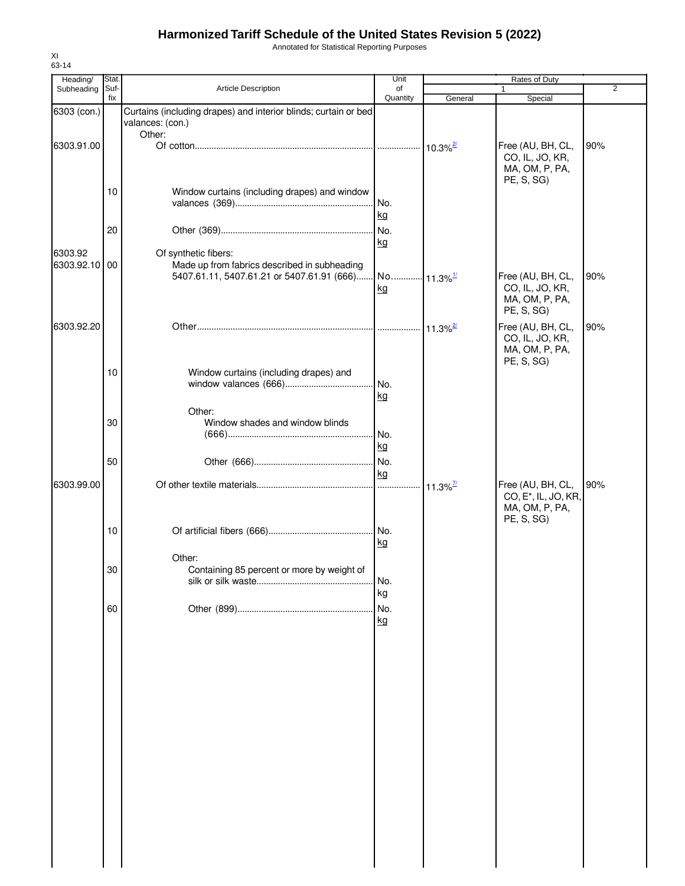Annotated for Statistical Reporting Purposes

| Heading/      | Stat.       |                                                                 | Unit                   |                             | Rates of Duty                        |                |
|---------------|-------------|-----------------------------------------------------------------|------------------------|-----------------------------|--------------------------------------|----------------|
| Subheading    | Suf-<br>fix | Article Description                                             | of<br>Quantity         | General                     | Special                              | $\overline{2}$ |
| 6303 (con.)   |             | Curtains (including drapes) and interior blinds; curtain or bed |                        |                             |                                      |                |
|               |             | valances: (con.)                                                |                        |                             |                                      |                |
|               |             | Other:                                                          |                        |                             |                                      |                |
| 6303.91.00    |             |                                                                 |                        | $.110.3\%$                  | Free (AU, BH, CL,<br>CO, IL, JO, KR, | 90%            |
|               |             |                                                                 |                        |                             | MA, OM, P, PA,                       |                |
|               |             |                                                                 |                        |                             | PE, S, SG)                           |                |
|               | 10          | Window curtains (including drapes) and window                   |                        |                             |                                      |                |
|               |             |                                                                 | No.<br>kg              |                             |                                      |                |
|               | 20          |                                                                 | No.                    |                             |                                      |                |
|               |             |                                                                 | kg                     |                             |                                      |                |
| 6303.92       |             | Of synthetic fibers:                                            |                        |                             |                                      |                |
| 6303.92.10 00 |             | Made up from fabrics described in subheading                    |                        |                             |                                      |                |
|               |             | 5407.61.11, 5407.61.21 or 5407.61.91 (666)                      | No 11.3% <sup>1/</sup> |                             | Free (AU, BH, CL,<br>CO, IL, JO, KR, | 90%            |
|               |             |                                                                 | kg                     |                             | MA, OM, P, PA,                       |                |
|               |             |                                                                 |                        |                             | PE, S, SG)                           |                |
| 6303.92.20    |             |                                                                 |                        | $\cdot$ 11.3% $\frac{2}{3}$ | Free (AU, BH, CL,                    | 90%            |
|               |             |                                                                 |                        |                             | CO, IL, JO, KR,                      |                |
|               |             |                                                                 |                        |                             | MA, OM, P, PA,                       |                |
|               | 10          | Window curtains (including drapes) and                          |                        |                             | PE, S, SG)                           |                |
|               |             |                                                                 | No.                    |                             |                                      |                |
|               |             |                                                                 | kg                     |                             |                                      |                |
|               |             | Other:                                                          |                        |                             |                                      |                |
|               | 30          | Window shades and window blinds                                 |                        |                             |                                      |                |
|               |             |                                                                 | No.                    |                             |                                      |                |
|               |             |                                                                 | kg                     |                             |                                      |                |
|               | 50          |                                                                 | No.<br>kg              |                             |                                      |                |
| 6303.99.00    |             |                                                                 |                        | $11.3\%$ <sup>7/</sup>      | Free (AU, BH, CL,                    | 90%            |
|               |             |                                                                 |                        |                             | CO, E <sup>*</sup> , IL, JO, KR,     |                |
|               |             |                                                                 |                        |                             | MA, OM, P, PA,                       |                |
|               | 10          |                                                                 |                        |                             | PE, S, SG)                           |                |
|               |             |                                                                 | kg                     |                             |                                      |                |
|               |             | Other:                                                          |                        |                             |                                      |                |
|               | 30          | Containing 85 percent or more by weight of                      |                        |                             |                                      |                |
|               |             |                                                                 | No.                    |                             |                                      |                |
|               |             |                                                                 | kg                     |                             |                                      |                |
|               | 60          |                                                                 | No.                    |                             |                                      |                |
|               |             |                                                                 | kg                     |                             |                                      |                |
|               |             |                                                                 |                        |                             |                                      |                |
|               |             |                                                                 |                        |                             |                                      |                |
|               |             |                                                                 |                        |                             |                                      |                |
|               |             |                                                                 |                        |                             |                                      |                |
|               |             |                                                                 |                        |                             |                                      |                |
|               |             |                                                                 |                        |                             |                                      |                |
|               |             |                                                                 |                        |                             |                                      |                |
|               |             |                                                                 |                        |                             |                                      |                |
|               |             |                                                                 |                        |                             |                                      |                |
|               |             |                                                                 |                        |                             |                                      |                |
|               |             |                                                                 |                        |                             |                                      |                |
|               |             |                                                                 |                        |                             |                                      |                |
|               |             |                                                                 |                        |                             |                                      |                |
|               |             |                                                                 |                        |                             |                                      |                |
|               |             |                                                                 |                        |                             |                                      |                |
|               |             |                                                                 |                        |                             |                                      |                |
|               |             |                                                                 |                        |                             |                                      |                |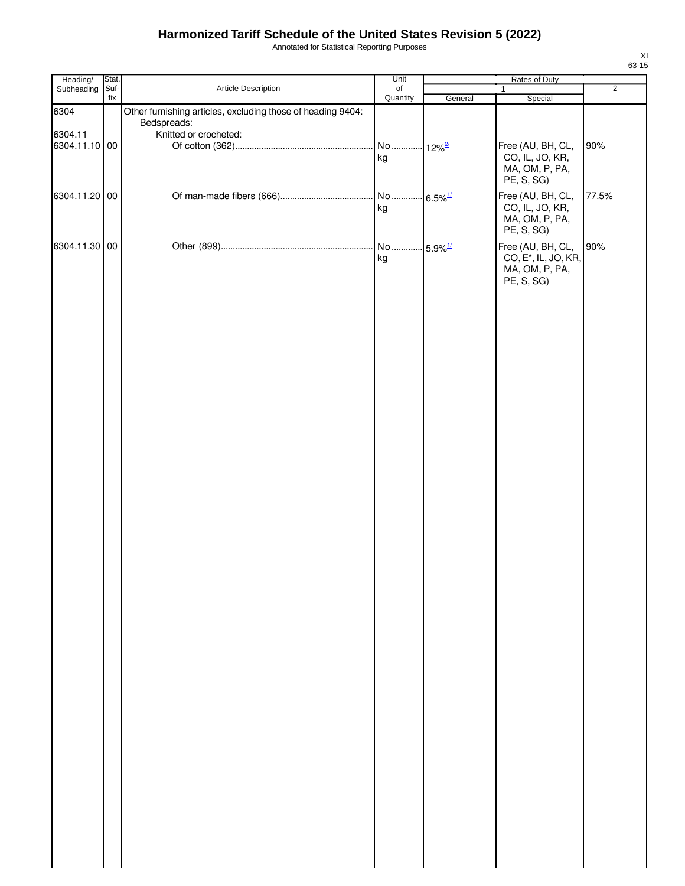Annotated for Statistical Reporting Purposes

| Heading/      | Stat. |                                                                            | Unit     | Rates of Duty          |                                  |                |  |
|---------------|-------|----------------------------------------------------------------------------|----------|------------------------|----------------------------------|----------------|--|
| Subheading    | Suf-  | Article Description                                                        | of       |                        | $\mathbf{1}$                     | $\overline{2}$ |  |
|               | fix   |                                                                            | Quantity | General                | Special                          |                |  |
| 6304          |       | Other furnishing articles, excluding those of heading 9404:<br>Bedspreads: |          |                        |                                  |                |  |
| 6304.11       |       | Knitted or crocheted:                                                      |          |                        |                                  |                |  |
| 6304.11.10 00 |       |                                                                            | No       | $.12\%$ <sup>2/</sup>  | Free (AU, BH, CL,                | 90%            |  |
|               |       |                                                                            | kg       |                        | CO, IL, JO, KR,                  |                |  |
|               |       |                                                                            |          |                        | MA, OM, P, PA,                   |                |  |
|               |       |                                                                            |          |                        | PE, S, SG)                       |                |  |
| 6304.11.20 00 |       |                                                                            |          | $-6.5\%$ <sup>1/</sup> | Free (AU, BH, CL,                | 77.5%          |  |
|               |       |                                                                            | kg       |                        | CO, IL, JO, KR,                  |                |  |
|               |       |                                                                            |          |                        | MA, OM, P, PA,                   |                |  |
|               |       |                                                                            |          |                        | PE, S, SG)                       |                |  |
| 6304.11.30 00 |       |                                                                            | No       |                        | Free (AU, BH, CL,                | 90%            |  |
|               |       |                                                                            | kg       | $-5.9\%$ <sup>1/</sup> | CO, E <sup>*</sup> , IL, JO, KR, |                |  |
|               |       |                                                                            |          |                        | MA, OM, P, PA,                   |                |  |
|               |       |                                                                            |          |                        | PE, S, SG)                       |                |  |
|               |       |                                                                            |          |                        |                                  |                |  |
|               |       |                                                                            |          |                        |                                  |                |  |
|               |       |                                                                            |          |                        |                                  |                |  |
|               |       |                                                                            |          |                        |                                  |                |  |
|               |       |                                                                            |          |                        |                                  |                |  |
|               |       |                                                                            |          |                        |                                  |                |  |
|               |       |                                                                            |          |                        |                                  |                |  |
|               |       |                                                                            |          |                        |                                  |                |  |
|               |       |                                                                            |          |                        |                                  |                |  |
|               |       |                                                                            |          |                        |                                  |                |  |
|               |       |                                                                            |          |                        |                                  |                |  |
|               |       |                                                                            |          |                        |                                  |                |  |
|               |       |                                                                            |          |                        |                                  |                |  |
|               |       |                                                                            |          |                        |                                  |                |  |
|               |       |                                                                            |          |                        |                                  |                |  |
|               |       |                                                                            |          |                        |                                  |                |  |
|               |       |                                                                            |          |                        |                                  |                |  |
|               |       |                                                                            |          |                        |                                  |                |  |
|               |       |                                                                            |          |                        |                                  |                |  |
|               |       |                                                                            |          |                        |                                  |                |  |
|               |       |                                                                            |          |                        |                                  |                |  |
|               |       |                                                                            |          |                        |                                  |                |  |
|               |       |                                                                            |          |                        |                                  |                |  |
|               |       |                                                                            |          |                        |                                  |                |  |
|               |       |                                                                            |          |                        |                                  |                |  |
|               |       |                                                                            |          |                        |                                  |                |  |
|               |       |                                                                            |          |                        |                                  |                |  |
|               |       |                                                                            |          |                        |                                  |                |  |
|               |       |                                                                            |          |                        |                                  |                |  |
|               |       |                                                                            |          |                        |                                  |                |  |
|               |       |                                                                            |          |                        |                                  |                |  |
|               |       |                                                                            |          |                        |                                  |                |  |
|               |       |                                                                            |          |                        |                                  |                |  |
|               |       |                                                                            |          |                        |                                  |                |  |
|               |       |                                                                            |          |                        |                                  |                |  |
|               |       |                                                                            |          |                        |                                  |                |  |
|               |       |                                                                            |          |                        |                                  |                |  |
|               |       |                                                                            |          |                        |                                  |                |  |
|               |       |                                                                            |          |                        |                                  |                |  |
|               |       |                                                                            |          |                        |                                  |                |  |
|               |       |                                                                            |          |                        |                                  |                |  |
|               |       |                                                                            |          |                        |                                  |                |  |
|               |       |                                                                            |          |                        |                                  |                |  |
|               |       |                                                                            |          |                        |                                  |                |  |
|               |       |                                                                            |          |                        |                                  |                |  |
|               |       |                                                                            |          |                        |                                  |                |  |
|               |       |                                                                            |          |                        |                                  |                |  |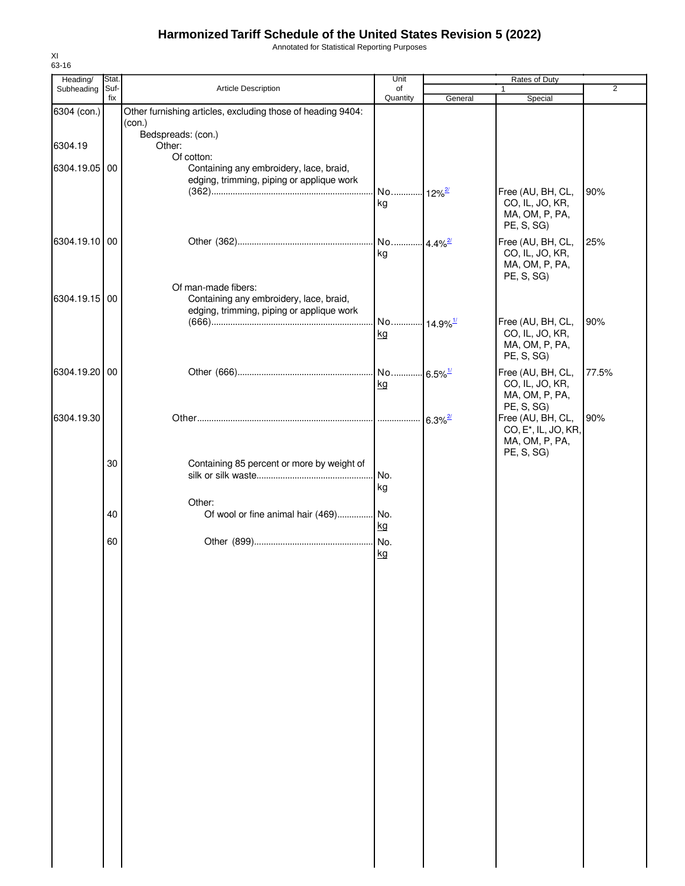Annotated for Statistical Reporting Purposes

| Heading/      | Stat.       |                                                                                                             | Unit                         |                       | Rates of Duty                                                                         |                |
|---------------|-------------|-------------------------------------------------------------------------------------------------------------|------------------------------|-----------------------|---------------------------------------------------------------------------------------|----------------|
| Subheading    | Suf-<br>fix | Article Description                                                                                         | of<br>Quantity               | General               | $\mathbf{1}$<br>Special                                                               | $\overline{2}$ |
| 6304 (con.)   |             | Other furnishing articles, excluding those of heading 9404:<br>(con.)                                       |                              |                       |                                                                                       |                |
| 6304.19       |             | Bedspreads: (con.)<br>Other:                                                                                |                              |                       |                                                                                       |                |
| 6304.19.05 00 |             | Of cotton:<br>Containing any embroidery, lace, braid,<br>edging, trimming, piping or applique work          |                              |                       |                                                                                       |                |
|               |             |                                                                                                             | No 12% <sup>2/</sup><br>kg   |                       | Free (AU, BH, CL,<br>CO, IL, JO, KR,<br>MA, OM, P, PA,<br>PE, S, SG)                  | 90%            |
| 6304.19.10 00 |             |                                                                                                             | No 4.4% <sup>27</sup><br>kg  |                       | Free (AU, BH, CL,<br>CO, IL, JO, KR,<br>MA, OM, P, PA,<br>PE, S, SG)                  | 25%            |
| 6304.19.15 00 |             | Of man-made fibers:<br>Containing any embroidery, lace, braid,<br>edging, trimming, piping or applique work |                              |                       |                                                                                       |                |
|               |             |                                                                                                             | No 14.9% <sup>1/</sup><br>kg |                       | Free (AU, BH, CL,<br>CO, IL, JO, KR,<br>MA, OM, P, PA,<br>PE, S, SG)                  | 90%            |
| 6304.19.20 00 |             |                                                                                                             | kg                           |                       | Free (AU, BH, CL,<br>CO, IL, JO, KR,<br>MA, OM, P, PA,<br>PE, S, SG)                  | 77.5%          |
| 6304.19.30    |             |                                                                                                             |                              | $6.3\%$ <sup>2/</sup> | Free (AU, BH, CL,<br>CO, E <sup>*</sup> , IL, JO, KR,<br>MA, OM, P, PA,<br>PE, S, SG) | 90%            |
|               | 30          | Containing 85 percent or more by weight of                                                                  | No.<br>kg                    |                       |                                                                                       |                |
|               | 40          | Other:<br>Of wool or fine animal hair (469) No.                                                             | kg                           |                       |                                                                                       |                |
|               | 60          |                                                                                                             | No.<br>kg                    |                       |                                                                                       |                |
|               |             |                                                                                                             |                              |                       |                                                                                       |                |
|               |             |                                                                                                             |                              |                       |                                                                                       |                |
|               |             |                                                                                                             |                              |                       |                                                                                       |                |
|               |             |                                                                                                             |                              |                       |                                                                                       |                |
|               |             |                                                                                                             |                              |                       |                                                                                       |                |
|               |             |                                                                                                             |                              |                       |                                                                                       |                |
|               |             |                                                                                                             |                              |                       |                                                                                       |                |
|               |             |                                                                                                             |                              |                       |                                                                                       |                |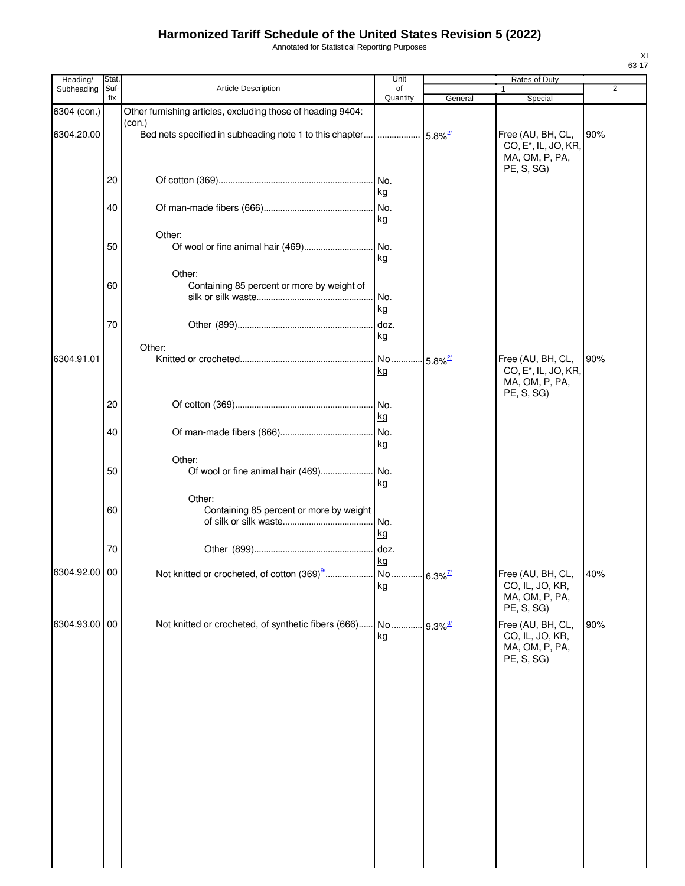Annotated for Statistical Reporting Purposes

| Heading/      | Stat.       |                                                             | Unit                               |         | Rates of Duty                                                                         |                |
|---------------|-------------|-------------------------------------------------------------|------------------------------------|---------|---------------------------------------------------------------------------------------|----------------|
| Subheading    | Suf-<br>fix | Article Description                                         | of<br>Quantity                     | General | Special                                                                               | $\overline{2}$ |
| 6304 (con.)   |             | Other furnishing articles, excluding those of heading 9404: |                                    |         |                                                                                       |                |
| 6304.20.00    |             | (con.)                                                      |                                    |         | Free (AU, BH, CL,<br>CO, E <sup>*</sup> , IL, JO, KR,<br>MA, OM, P, PA,               | 90%            |
|               | 20          |                                                             | No.<br>kg                          |         | PE, S, SG)                                                                            |                |
|               | 40          |                                                             | No.<br>kg                          |         |                                                                                       |                |
|               | 50          | Other:                                                      | .lNo.<br>kg                        |         |                                                                                       |                |
|               | 60          | Other:<br>Containing 85 percent or more by weight of        | No.                                |         |                                                                                       |                |
|               | 70          |                                                             | kg<br>doz.<br>kg                   |         |                                                                                       |                |
|               |             | Other:                                                      |                                    |         |                                                                                       |                |
| 6304.91.01    |             |                                                             | No 5.8% <sup>27</sup><br><u>kg</u> |         | Free (AU, BH, CL,<br>CO, E <sup>*</sup> , IL, JO, KR,<br>MA, OM, P, PA,<br>PE, S, SG) | 90%            |
|               | 20          |                                                             | No.<br>kg                          |         |                                                                                       |                |
|               | 40          |                                                             | No.<br>kg                          |         |                                                                                       |                |
|               | 50          | Other:<br>Of wool or fine animal hair (469)                 | .I No.<br>kg                       |         |                                                                                       |                |
|               | 60          | Other:<br>Containing 85 percent or more by weight           | No.<br>kg                          |         |                                                                                       |                |
|               | 70          |                                                             | doz.<br>kg                         |         |                                                                                       |                |
| 6304.92.00 00 |             |                                                             | kg                                 |         | Free (AU, BH, CL,<br>CO, IL, JO, KR,<br>MA, OM, P, PA,<br>PE, S, SG)                  | 40%            |
| 6304.93.00 00 |             | Not knitted or crocheted, of synthetic fibers (666)         | No 9.3% <sup>8/</sup><br>kg        |         | Free (AU, BH, CL,<br>CO, IL, JO, KR,<br>MA, OM, P, PA,<br>PE, S, SG)                  | 90%            |
|               |             |                                                             |                                    |         |                                                                                       |                |
|               |             |                                                             |                                    |         |                                                                                       |                |
|               |             |                                                             |                                    |         |                                                                                       |                |
|               |             |                                                             |                                    |         |                                                                                       |                |
|               |             |                                                             |                                    |         |                                                                                       |                |
|               |             |                                                             |                                    |         |                                                                                       |                |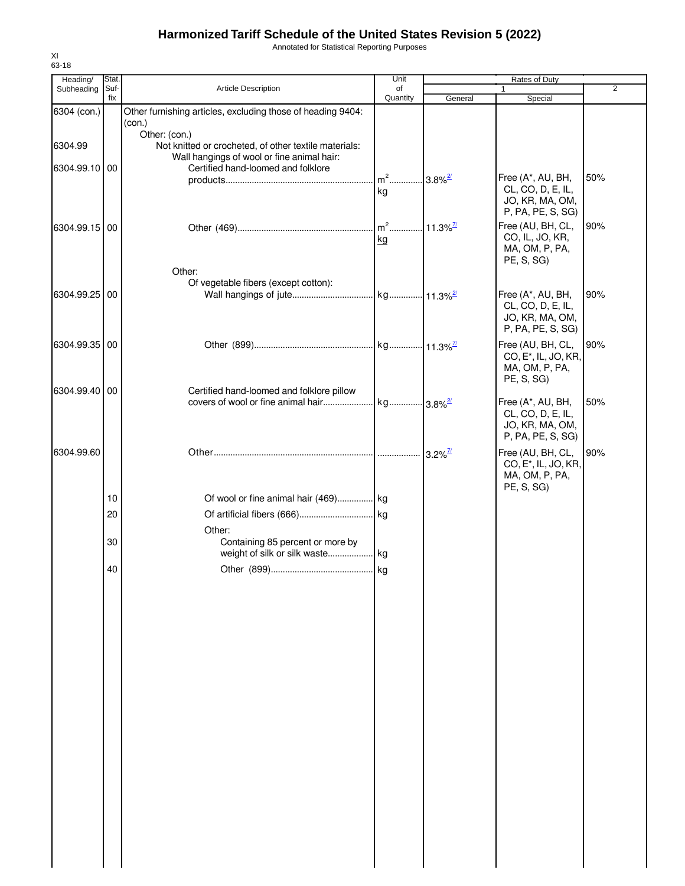Annotated for Statistical Reporting Purposes

| Heading/      | Stat.       |                                                                                                     | Unit           |                        | Rates of Duty                          |                |
|---------------|-------------|-----------------------------------------------------------------------------------------------------|----------------|------------------------|----------------------------------------|----------------|
| Subheading    | Suf-<br>fix | Article Description                                                                                 | of<br>Quantity | General                | 1<br>Special                           | $\overline{2}$ |
| 6304 (con.)   |             | Other furnishing articles, excluding those of heading 9404:<br>(con.)                               |                |                        |                                        |                |
| 6304.99       |             | Other: (con.)                                                                                       |                |                        |                                        |                |
|               |             | Not knitted or crocheted, of other textile materials:<br>Wall hangings of wool or fine animal hair: |                |                        |                                        |                |
| 6304.99.10 00 |             | Certified hand-loomed and folklore                                                                  |                |                        |                                        |                |
|               |             |                                                                                                     |                | $.3.8\%$ <sup>2/</sup> | Free (A*, AU, BH,<br>CL, CO, D, E, IL, | 50%            |
|               |             |                                                                                                     | kg             |                        | JO, KR, MA, OM,                        |                |
|               |             |                                                                                                     |                |                        | P, PA, PE, S, SG)                      |                |
| 6304.99.15 00 |             |                                                                                                     | $m2$           | $11.3\%$ <sup>7/</sup> | Free (AU, BH, CL,                      | 90%            |
|               |             |                                                                                                     | kg             |                        | CO, IL, JO, KR,<br>MA, OM, P, PA,      |                |
|               |             |                                                                                                     |                |                        | PE, S, SG)                             |                |
|               |             | Other:                                                                                              |                |                        |                                        |                |
|               |             | Of vegetable fibers (except cotton):                                                                |                |                        |                                        |                |
| 6304.99.25 00 |             |                                                                                                     |                |                        | Free (A*, AU, BH,<br>CL, CO, D, E, IL, | 90%            |
|               |             |                                                                                                     |                |                        | JO, KR, MA, OM,                        |                |
|               |             |                                                                                                     |                |                        | P, PA, PE, S, SG)                      |                |
| 6304.99.35 00 |             |                                                                                                     |                |                        | Free (AU, BH, CL,                      | 90%            |
|               |             |                                                                                                     |                |                        | CO, E <sup>*</sup> , IL, JO, KR,       |                |
|               |             |                                                                                                     |                |                        | MA, OM, P, PA,<br>PE, S, SG)           |                |
| 6304.99.40 00 |             | Certified hand-loomed and folklore pillow                                                           |                |                        |                                        |                |
|               |             |                                                                                                     |                |                        | Free (A*, AU, BH,                      | 50%            |
|               |             |                                                                                                     |                |                        | CL, CO, D, E, IL,<br>JO, KR, MA, OM,   |                |
|               |             |                                                                                                     |                |                        | P, PA, PE, S, SG)                      |                |
| 6304.99.60    |             |                                                                                                     |                |                        | Free (AU, BH, CL,                      | 90%            |
|               |             |                                                                                                     |                |                        | CO, E <sup>*</sup> , IL, JO, KR,       |                |
|               |             |                                                                                                     |                |                        | MA, OM, P, PA,                         |                |
|               | 10          | Of wool or fine animal hair (469) kg                                                                |                |                        | PE, S, SG)                             |                |
|               |             |                                                                                                     |                |                        |                                        |                |
|               | 20          |                                                                                                     |                |                        |                                        |                |
|               | 30          | Other:<br>Containing 85 percent or more by                                                          |                |                        |                                        |                |
|               |             |                                                                                                     |                |                        |                                        |                |
|               | 40          |                                                                                                     |                |                        |                                        |                |
|               |             |                                                                                                     |                |                        |                                        |                |
|               |             |                                                                                                     |                |                        |                                        |                |
|               |             |                                                                                                     |                |                        |                                        |                |
|               |             |                                                                                                     |                |                        |                                        |                |
|               |             |                                                                                                     |                |                        |                                        |                |
|               |             |                                                                                                     |                |                        |                                        |                |
|               |             |                                                                                                     |                |                        |                                        |                |
|               |             |                                                                                                     |                |                        |                                        |                |
|               |             |                                                                                                     |                |                        |                                        |                |
|               |             |                                                                                                     |                |                        |                                        |                |
|               |             |                                                                                                     |                |                        |                                        |                |
|               |             |                                                                                                     |                |                        |                                        |                |
|               |             |                                                                                                     |                |                        |                                        |                |
|               |             |                                                                                                     |                |                        |                                        |                |
|               |             |                                                                                                     |                |                        |                                        |                |
|               |             |                                                                                                     |                |                        |                                        |                |
|               |             |                                                                                                     |                |                        |                                        |                |
|               |             |                                                                                                     |                |                        |                                        |                |
|               |             |                                                                                                     |                |                        |                                        |                |
|               |             |                                                                                                     |                |                        |                                        |                |
|               |             |                                                                                                     |                |                        |                                        |                |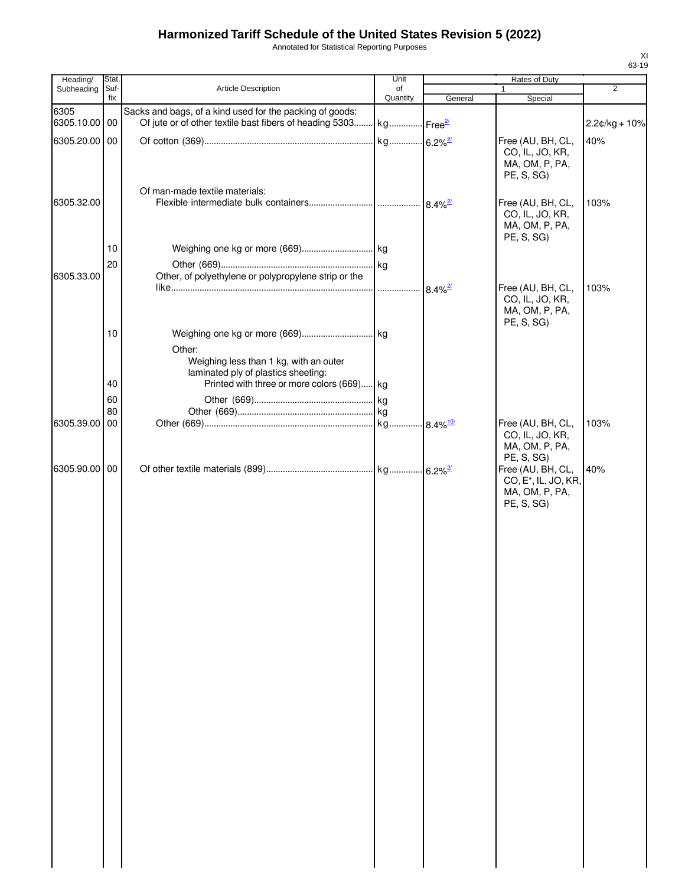Annotated for Statistical Reporting Purposes

| Heading/              | Stat.           |                                                                                                                                          | Unit           |         | Rates of Duty                                                                         |                 |
|-----------------------|-----------------|------------------------------------------------------------------------------------------------------------------------------------------|----------------|---------|---------------------------------------------------------------------------------------|-----------------|
| Subheading            | Suf-<br>fix     | Article Description                                                                                                                      | of<br>Quantity | General | $\mathbf{1}$<br>Special                                                               | 2               |
| 6305<br>6305.10.00 00 |                 | Sacks and bags, of a kind used for the packing of goods:<br>Of jute or of other textile bast fibers of heading 5303 kg Free <sup>2</sup> |                |         |                                                                                       | $2.2¢/kg + 10%$ |
| 6305.20.00 00         |                 |                                                                                                                                          |                |         | Free (AU, BH, CL,<br>CO, IL, JO, KR,<br>MA, OM, P, PA,<br>PE, S, SG)                  | 40%             |
| 6305.32.00            |                 | Of man-made textile materials:                                                                                                           |                |         | Free (AU, BH, CL,<br>CO, IL, JO, KR,<br>MA, OM, P, PA,<br>PE, S, SG)                  | 103%            |
|                       | 10              |                                                                                                                                          |                |         |                                                                                       |                 |
|                       | 20              |                                                                                                                                          |                |         |                                                                                       |                 |
| 6305.33.00            |                 | Other, of polyethylene or polypropylene strip or the                                                                                     |                |         | Free (AU, BH, CL,                                                                     | 103%            |
|                       |                 |                                                                                                                                          |                |         | CO, IL, JO, KR,<br>MA, OM, P, PA,<br>PE, S, SG)                                       |                 |
|                       | 10 <sup>°</sup> | Other:                                                                                                                                   |                |         |                                                                                       |                 |
|                       | 40              | Weighing less than 1 kg, with an outer<br>laminated ply of plastics sheeting:<br>Printed with three or more colors (669) kg              |                |         |                                                                                       |                 |
|                       | 60              |                                                                                                                                          |                |         |                                                                                       |                 |
|                       | 80              |                                                                                                                                          |                |         |                                                                                       |                 |
| 6305.39.00 00         |                 |                                                                                                                                          |                |         | Free (AU, BH, CL,<br>CO, IL, JO, KR,<br>MA, OM, P, PA,<br>PE, S, SG)                  | 103%            |
| 6305.90.00 00         |                 |                                                                                                                                          |                |         | Free (AU, BH, CL,<br>CO, E <sup>*</sup> , IL, JO, KR,<br>MA, OM, P, PA,<br>PE, S, SG) | 40%             |
|                       |                 |                                                                                                                                          |                |         |                                                                                       |                 |
|                       |                 |                                                                                                                                          |                |         |                                                                                       |                 |
|                       |                 |                                                                                                                                          |                |         |                                                                                       |                 |
|                       |                 |                                                                                                                                          |                |         |                                                                                       |                 |
|                       |                 |                                                                                                                                          |                |         |                                                                                       |                 |
|                       |                 |                                                                                                                                          |                |         |                                                                                       |                 |
|                       |                 |                                                                                                                                          |                |         |                                                                                       |                 |
|                       |                 |                                                                                                                                          |                |         |                                                                                       |                 |
|                       |                 |                                                                                                                                          |                |         |                                                                                       |                 |
|                       |                 |                                                                                                                                          |                |         |                                                                                       |                 |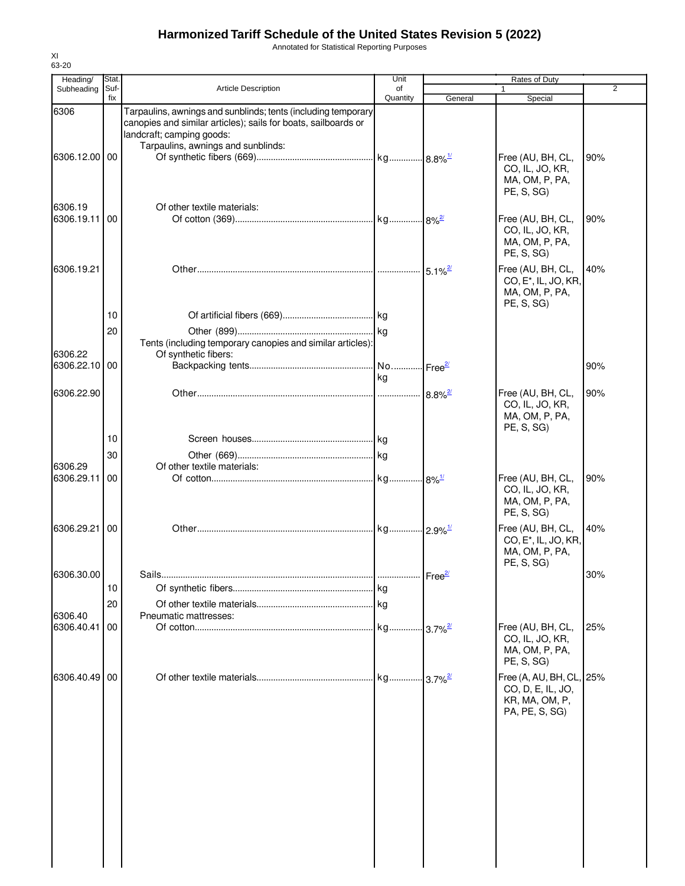Annotated for Statistical Reporting Purposes

| Heading/              | Stat.       |                                                                                                                                                              | Unit                        |                        | Rates of Duty                                                                         |                |
|-----------------------|-------------|--------------------------------------------------------------------------------------------------------------------------------------------------------------|-----------------------------|------------------------|---------------------------------------------------------------------------------------|----------------|
| Subheading            | Suf-<br>fix | <b>Article Description</b>                                                                                                                                   | of<br>Quantity              | General                | 1<br>Special                                                                          | $\overline{2}$ |
| 6306                  |             | Tarpaulins, awnings and sunblinds; tents (including temporary<br>canopies and similar articles); sails for boats, sailboards or<br>landcraft; camping goods: |                             |                        |                                                                                       |                |
| 6306.12.00            | 00          | Tarpaulins, awnings and sunblinds:                                                                                                                           |                             |                        | Free (AU, BH, CL,<br>CO, IL, JO, KR,<br>MA, OM, P, PA,<br>PE, S, SG)                  | 90%            |
| 6306.19<br>6306.19.11 | 00          | Of other textile materials:                                                                                                                                  |                             |                        | Free (AU, BH, CL,<br>CO, IL, JO, KR,<br>MA, OM, P, PA,<br>PE, S, SG)                  | 90%            |
| 6306.19.21            |             |                                                                                                                                                              |                             | $-5.1\%$ <sup>2/</sup> | Free (AU, BH, CL,<br>CO, E <sup>*</sup> , IL, JO, KR,<br>MA, OM, P, PA,<br>PE, S, SG) | 40%            |
|                       | 10          |                                                                                                                                                              |                             |                        |                                                                                       |                |
| 6306.22               | 20          | Tents (including temporary canopies and similar articles):<br>Of synthetic fibers:                                                                           |                             |                        |                                                                                       |                |
| 6306.22.10 00         |             |                                                                                                                                                              | No Free <sup>2/</sup><br>kg |                        |                                                                                       | 90%            |
| 6306.22.90            |             |                                                                                                                                                              |                             |                        | Free (AU, BH, CL,<br>CO, IL, JO, KR,<br>MA, OM, P, PA,<br>PE, S, SG)                  | 90%            |
|                       | 10          |                                                                                                                                                              |                             |                        |                                                                                       |                |
|                       | 30          |                                                                                                                                                              |                             |                        |                                                                                       |                |
| 6306.29<br>6306.29.11 | 00          | Of other textile materials:                                                                                                                                  |                             |                        | Free (AU, BH, CL,<br>CO, IL, JO, KR,<br>MA, OM, P, PA,<br>PE, S, SG)                  | 90%            |
| 6306.29.21            | 00          |                                                                                                                                                              |                             |                        | Free (AU, BH, CL,<br>CO, E <sup>*</sup> , IL, JO, KR,<br>MA, OM, P, PA,               | 40%            |
| 6306.30.00            |             | Sails.                                                                                                                                                       |                             |                        | PE, S, SG)                                                                            | 30%            |
|                       | 10          |                                                                                                                                                              |                             |                        |                                                                                       |                |
|                       | 20          |                                                                                                                                                              |                             |                        |                                                                                       |                |
| 6306.40               |             | Pneumatic mattresses:                                                                                                                                        |                             |                        |                                                                                       |                |
| 6306.40.41            | 00          |                                                                                                                                                              | kg 3.7% <sup>2/</sup>       |                        | Free (AU, BH, CL,<br>CO, IL, JO, KR,<br>MA, OM, P, PA,<br>PE, S, SG)                  | 25%            |
| 6306.40.49            | 00          |                                                                                                                                                              |                             |                        | Free (A, AU, BH, CL, 25%<br>CO, D, E, IL, JO,<br>KR, MA, OM, P,<br>PA, PE, S, SG)     |                |
|                       |             |                                                                                                                                                              |                             |                        |                                                                                       |                |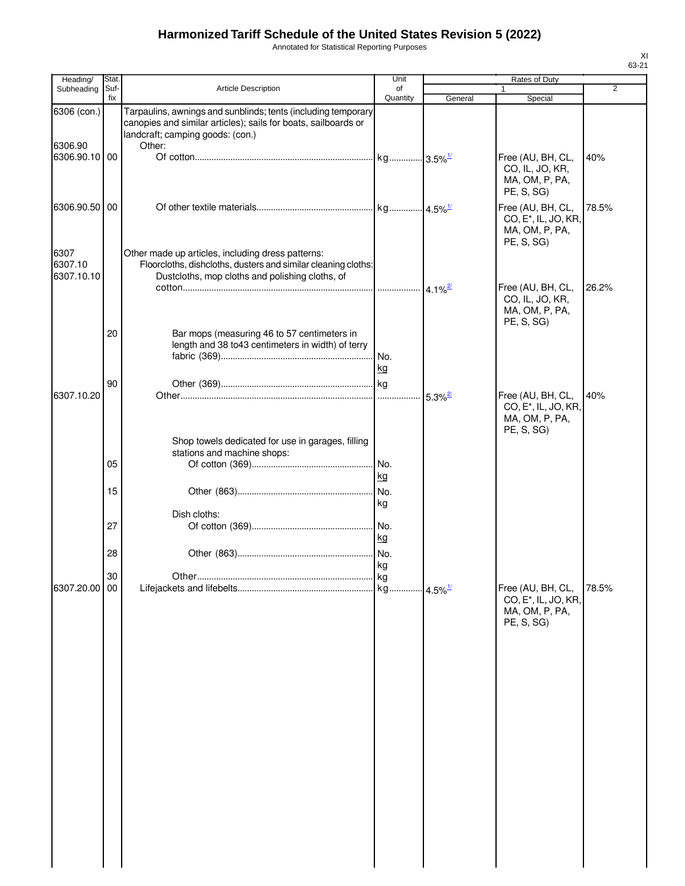Annotated for Statistical Reporting Purposes

| Heading/                      | Stat.       |                                                                                                                                                                               | Unit             |         | Rates of Duty                                                                         |                |
|-------------------------------|-------------|-------------------------------------------------------------------------------------------------------------------------------------------------------------------------------|------------------|---------|---------------------------------------------------------------------------------------|----------------|
| Subheading                    | Suf-<br>fix | <b>Article Description</b>                                                                                                                                                    | of<br>Quantity   | General | 1<br>Special                                                                          | $\overline{2}$ |
| 6306 (con.)<br>6306.90        |             | Tarpaulins, awnings and sunblinds; tents (including temporary<br>canopies and similar articles); sails for boats, sailboards or<br>landcraft; camping goods: (con.)<br>Other: |                  |         |                                                                                       |                |
| 6306.90.10 00                 |             |                                                                                                                                                                               |                  |         | Free (AU, BH, CL,<br>CO, IL, JO, KR,<br>MA, OM, P, PA,<br>PE, S, SG)                  | 40%            |
| 6306.90.50 00                 |             |                                                                                                                                                                               |                  |         | Free (AU, BH, CL,<br>CO, E <sup>*</sup> , IL, JO, KR,<br>MA, OM, P, PA,<br>PE, S, SG) | 78.5%          |
| 6307<br>6307.10<br>6307.10.10 |             | Other made up articles, including dress patterns:<br>Floorcloths, dishcloths, dusters and similar cleaning cloths:<br>Dustcloths, mop cloths and polishing cloths, of         |                  |         | Free (AU, BH, CL,                                                                     | 26.2%          |
|                               | 20          | Bar mops (measuring 46 to 57 centimeters in<br>length and 38 to43 centimeters in width) of terry                                                                              |                  |         | CO, IL, JO, KR,<br>MA, OM, P, PA,<br>PE, S, SG)                                       |                |
|                               | 90          |                                                                                                                                                                               | . No.<br>kg      |         |                                                                                       |                |
| 6307.10.20                    |             | Shop towels dedicated for use in garages, filling                                                                                                                             |                  |         | Free (AU, BH, CL,<br>CO, E <sup>*</sup> , IL, JO, KR,<br>MA, OM, P, PA,<br>PE, S, SG) | 40%            |
|                               | 05          | stations and machine shops:                                                                                                                                                   | No.<br>kg        |         |                                                                                       |                |
|                               | 15          | Dish cloths:                                                                                                                                                                  | No.<br>kg        |         |                                                                                       |                |
|                               | 27<br>28    |                                                                                                                                                                               | No.<br>kg<br>No. |         |                                                                                       |                |
| 6307.20.00 00                 | 30          |                                                                                                                                                                               | kg               |         | Free (AU, BH, CL,<br>CO, E*, IL, JO, KR,<br>MA, OM, P, PA,                            | 78.5%          |
|                               |             |                                                                                                                                                                               |                  |         | PE, S, SG)                                                                            |                |
|                               |             |                                                                                                                                                                               |                  |         |                                                                                       |                |
|                               |             |                                                                                                                                                                               |                  |         |                                                                                       |                |
|                               |             |                                                                                                                                                                               |                  |         |                                                                                       |                |
|                               |             |                                                                                                                                                                               |                  |         |                                                                                       |                |
|                               |             |                                                                                                                                                                               |                  |         |                                                                                       |                |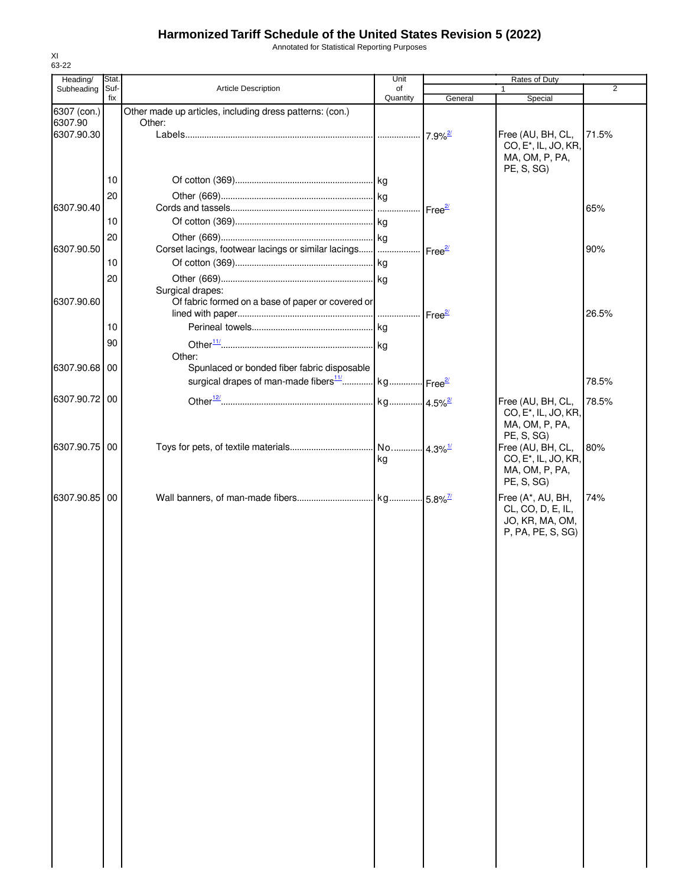Annotated for Statistical Reporting Purposes

| Heading/      | Stat.       |                                                                           | Unit           |                       | Rates of Duty                                                                         |       |
|---------------|-------------|---------------------------------------------------------------------------|----------------|-----------------------|---------------------------------------------------------------------------------------|-------|
| Subheading    | Suf-<br>fix | Article Description                                                       | of<br>Quantity | General               | $\mathbf{1}$<br>Special                                                               | 2     |
| 6307 (con.)   |             | Other made up articles, including dress patterns: (con.)                  |                |                       |                                                                                       |       |
| 6307.90       |             | Other:                                                                    |                |                       |                                                                                       |       |
| 6307.90.30    |             |                                                                           |                | $7.9\%$ <sup>2/</sup> | Free (AU, BH, CL,<br>CO, E <sup>*</sup> , IL, JO, KR,<br>MA, OM, P, PA,<br>PE, S, SG) | 71.5% |
|               | 10          |                                                                           |                |                       |                                                                                       |       |
|               | 20          |                                                                           |                |                       |                                                                                       |       |
| 6307.90.40    |             |                                                                           |                | Free <sup>2/</sup>    |                                                                                       | 65%   |
|               | 10          |                                                                           |                |                       |                                                                                       |       |
|               | 20          |                                                                           |                |                       |                                                                                       |       |
| 6307.90.50    |             | Corset lacings, footwear lacings or similar lacings    Free <sup>2/</sup> |                |                       |                                                                                       | 90%   |
|               | 10          |                                                                           |                |                       |                                                                                       |       |
|               | 20          |                                                                           |                |                       |                                                                                       |       |
| 6307.90.60    |             | Surgical drapes:<br>Of fabric formed on a base of paper or covered or     |                |                       |                                                                                       |       |
|               |             |                                                                           |                |                       |                                                                                       | 26.5% |
|               | 10          |                                                                           |                |                       |                                                                                       |       |
|               | 90          |                                                                           |                |                       |                                                                                       |       |
|               |             | Other:                                                                    |                |                       |                                                                                       |       |
| 6307.90.68 00 |             | Spunlaced or bonded fiber fabric disposable                               |                |                       |                                                                                       |       |
|               |             | surgical drapes of man-made fibers <sup>11</sup> kg Free <sup>2/</sup>    |                |                       |                                                                                       | 78.5% |
| 6307.90.72 00 |             |                                                                           |                |                       | Free (AU, BH, CL,                                                                     | 78.5% |
|               |             |                                                                           |                |                       | CO, E <sup>*</sup> , IL, JO, KR,                                                      |       |
|               |             |                                                                           |                |                       | MA, OM, P, PA,<br>PE, S, SG)                                                          |       |
| 6307.90.75 00 |             |                                                                           |                |                       | Free (AU, BH, CL,                                                                     | 80%   |
|               |             |                                                                           | kg             |                       | CO, E <sup>*</sup> , IL, JO, KR,                                                      |       |
|               |             |                                                                           |                |                       | MA, OM, P, PA,                                                                        |       |
|               |             |                                                                           |                |                       | PE, S, SG)                                                                            |       |
| 6307.90.85 00 |             |                                                                           |                |                       | Free (A*, AU, BH,<br>CL, CO, D, E, IL,                                                | 74%   |
|               |             |                                                                           |                |                       | JO, KR, MA, OM,                                                                       |       |
|               |             |                                                                           |                |                       | P, PA, PE, S, SG)                                                                     |       |
|               |             |                                                                           |                |                       |                                                                                       |       |
|               |             |                                                                           |                |                       |                                                                                       |       |
|               |             |                                                                           |                |                       |                                                                                       |       |
|               |             |                                                                           |                |                       |                                                                                       |       |
|               |             |                                                                           |                |                       |                                                                                       |       |
|               |             |                                                                           |                |                       |                                                                                       |       |
|               |             |                                                                           |                |                       |                                                                                       |       |
|               |             |                                                                           |                |                       |                                                                                       |       |
|               |             |                                                                           |                |                       |                                                                                       |       |
|               |             |                                                                           |                |                       |                                                                                       |       |
|               |             |                                                                           |                |                       |                                                                                       |       |
|               |             |                                                                           |                |                       |                                                                                       |       |
|               |             |                                                                           |                |                       |                                                                                       |       |
|               |             |                                                                           |                |                       |                                                                                       |       |
|               |             |                                                                           |                |                       |                                                                                       |       |
|               |             |                                                                           |                |                       |                                                                                       |       |
|               |             |                                                                           |                |                       |                                                                                       |       |
|               |             |                                                                           |                |                       |                                                                                       |       |
|               |             |                                                                           |                |                       |                                                                                       |       |
|               |             |                                                                           |                |                       |                                                                                       |       |
|               |             |                                                                           |                |                       |                                                                                       |       |
|               |             |                                                                           |                |                       |                                                                                       |       |
|               |             |                                                                           |                |                       |                                                                                       |       |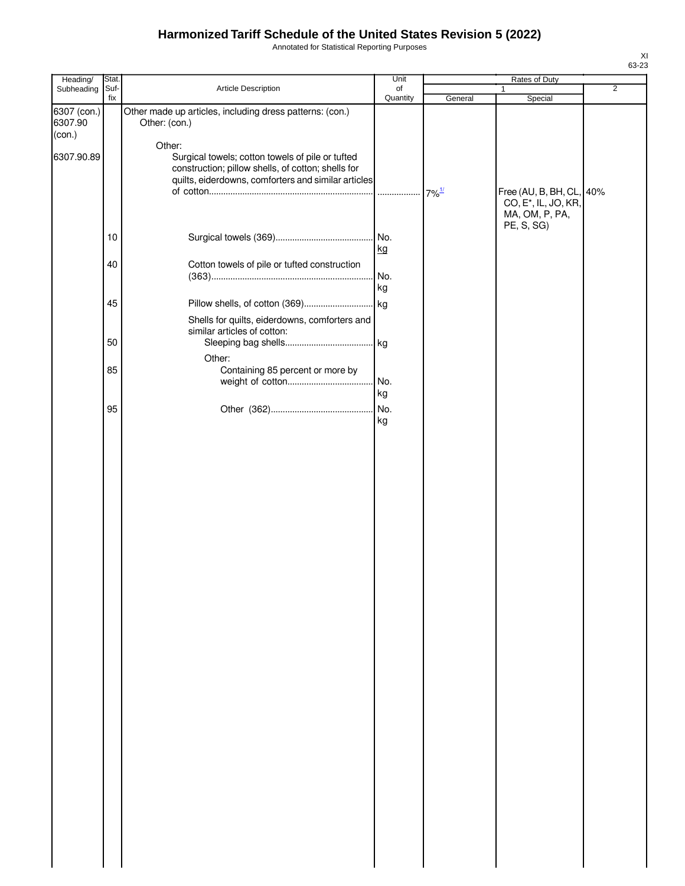Annotated for Statistical Reporting Purposes

| Heading/               | Stat. |                                                                                                                                                                         | Unit      |                     | Rates of Duty                                                                  |                |
|------------------------|-------|-------------------------------------------------------------------------------------------------------------------------------------------------------------------------|-----------|---------------------|--------------------------------------------------------------------------------|----------------|
| Subheading             | Suf-  | Article Description                                                                                                                                                     | of        |                     | 1                                                                              | $\overline{2}$ |
| 6307 (con.)<br>6307.90 | fix   | Other made up articles, including dress patterns: (con.)<br>Other: (con.)                                                                                               | Quantity  | General             | Special                                                                        |                |
| (con.)                 |       |                                                                                                                                                                         |           |                     |                                                                                |                |
| 6307.90.89             |       | Other:<br>Surgical towels; cotton towels of pile or tufted<br>construction; pillow shells, of cotton; shells for<br>quilts, eiderdowns, comforters and similar articles |           |                     |                                                                                |                |
|                        |       |                                                                                                                                                                         | .         | $7\%$ <sup>1/</sup> | Free (AU, B, BH, CL, 40%<br>CO, E <sup>*</sup> , IL, JO, KR,<br>MA, OM, P, PA, |                |
|                        | 10    |                                                                                                                                                                         | kg        |                     | PE, S, SG)                                                                     |                |
|                        | 40    | Cotton towels of pile or tufted construction                                                                                                                            | No.<br>kg |                     |                                                                                |                |
|                        |       |                                                                                                                                                                         |           |                     |                                                                                |                |
|                        | 45    |                                                                                                                                                                         |           |                     |                                                                                |                |
|                        | 50    | Shells for quilts, eiderdowns, comforters and<br>similar articles of cotton:                                                                                            |           |                     |                                                                                |                |
|                        |       |                                                                                                                                                                         |           |                     |                                                                                |                |
|                        | 85    | Other:<br>Containing 85 percent or more by                                                                                                                              |           |                     |                                                                                |                |
|                        |       |                                                                                                                                                                         |           |                     |                                                                                |                |
|                        |       |                                                                                                                                                                         | kg        |                     |                                                                                |                |
|                        | 95    |                                                                                                                                                                         | No.       |                     |                                                                                |                |
|                        |       |                                                                                                                                                                         | kg        |                     |                                                                                |                |
|                        |       |                                                                                                                                                                         |           |                     |                                                                                |                |
|                        |       |                                                                                                                                                                         |           |                     |                                                                                |                |
|                        |       |                                                                                                                                                                         |           |                     |                                                                                |                |
|                        |       |                                                                                                                                                                         |           |                     |                                                                                |                |
|                        |       |                                                                                                                                                                         |           |                     |                                                                                |                |
|                        |       |                                                                                                                                                                         |           |                     |                                                                                |                |
|                        |       |                                                                                                                                                                         |           |                     |                                                                                |                |
|                        |       |                                                                                                                                                                         |           |                     |                                                                                |                |
|                        |       |                                                                                                                                                                         |           |                     |                                                                                |                |
|                        |       |                                                                                                                                                                         |           |                     |                                                                                |                |
|                        |       |                                                                                                                                                                         |           |                     |                                                                                |                |
|                        |       |                                                                                                                                                                         |           |                     |                                                                                |                |
|                        |       |                                                                                                                                                                         |           |                     |                                                                                |                |
|                        |       |                                                                                                                                                                         |           |                     |                                                                                |                |
|                        |       |                                                                                                                                                                         |           |                     |                                                                                |                |
|                        |       |                                                                                                                                                                         |           |                     |                                                                                |                |
|                        |       |                                                                                                                                                                         |           |                     |                                                                                |                |
|                        |       |                                                                                                                                                                         |           |                     |                                                                                |                |
|                        |       |                                                                                                                                                                         |           |                     |                                                                                |                |
|                        |       |                                                                                                                                                                         |           |                     |                                                                                |                |
|                        |       |                                                                                                                                                                         |           |                     |                                                                                |                |
|                        |       |                                                                                                                                                                         |           |                     |                                                                                |                |
|                        |       |                                                                                                                                                                         |           |                     |                                                                                |                |
|                        |       |                                                                                                                                                                         |           |                     |                                                                                |                |
|                        |       |                                                                                                                                                                         |           |                     |                                                                                |                |
|                        |       |                                                                                                                                                                         |           |                     |                                                                                |                |
|                        |       |                                                                                                                                                                         |           |                     |                                                                                |                |
|                        |       |                                                                                                                                                                         |           |                     |                                                                                |                |
|                        |       |                                                                                                                                                                         |           |                     |                                                                                |                |
|                        |       |                                                                                                                                                                         |           |                     |                                                                                |                |
|                        |       |                                                                                                                                                                         |           |                     |                                                                                |                |
|                        |       |                                                                                                                                                                         |           |                     |                                                                                |                |
|                        |       |                                                                                                                                                                         |           |                     |                                                                                |                |
|                        |       |                                                                                                                                                                         |           |                     |                                                                                |                |
|                        |       |                                                                                                                                                                         |           |                     |                                                                                |                |
|                        |       |                                                                                                                                                                         |           |                     |                                                                                |                |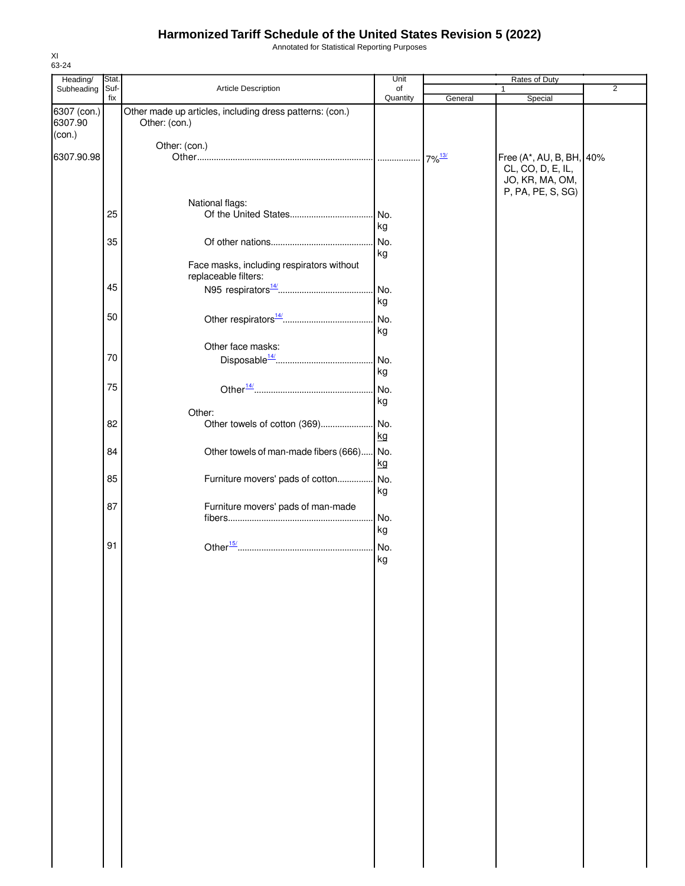Annotated for Statistical Reporting Purposes

| Heading/          | Stat. |                                                                   | Unit       |         | Rates of Duty                                                    |                |
|-------------------|-------|-------------------------------------------------------------------|------------|---------|------------------------------------------------------------------|----------------|
| Subheading        | Suf-  | Article Description                                               | of         |         | $\mathbf{1}$                                                     | $\overline{2}$ |
| 6307 (con.)       | fix   | Other made up articles, including dress patterns: (con.)          | Quantity   | General | Special                                                          |                |
| 6307.90<br>(con.) |       | Other: (con.)                                                     |            |         |                                                                  |                |
|                   |       | Other: (con.)                                                     |            |         |                                                                  |                |
| 6307.90.98        |       |                                                                   |            |         | Free (A*, AU, B, BH, 40%<br>CL, CO, D, E, IL,<br>JO, KR, MA, OM, |                |
|                   |       |                                                                   |            |         | P, PA, PE, S, SG)                                                |                |
|                   |       | National flags:                                                   |            |         |                                                                  |                |
|                   | 25    |                                                                   | No.<br>kg  |         |                                                                  |                |
|                   | 35    |                                                                   | No.<br>kg  |         |                                                                  |                |
|                   |       | Face masks, including respirators without<br>replaceable filters: |            |         |                                                                  |                |
|                   | 45    |                                                                   | No.        |         |                                                                  |                |
|                   | 50    |                                                                   | kg         |         |                                                                  |                |
|                   |       |                                                                   | No.<br>kg  |         |                                                                  |                |
|                   |       | Other face masks:                                                 |            |         |                                                                  |                |
|                   | 70    |                                                                   | No.<br>kg  |         |                                                                  |                |
|                   | 75    |                                                                   | No.        |         |                                                                  |                |
|                   |       |                                                                   | kg         |         |                                                                  |                |
|                   |       | Other:                                                            |            |         |                                                                  |                |
|                   | 82    | Other towels of cotton (369)                                      | .No.<br>kg |         |                                                                  |                |
|                   | 84    | Other towels of man-made fibers (666)                             | No.<br>kg  |         |                                                                  |                |
|                   | 85    | Furniture movers' pads of cotton                                  | No.<br>kg  |         |                                                                  |                |
|                   | 87    | Furniture movers' pads of man-made                                |            |         |                                                                  |                |
|                   |       |                                                                   | No.<br>kg  |         |                                                                  |                |
|                   | 91    |                                                                   | No.<br>kg  |         |                                                                  |                |
|                   |       |                                                                   |            |         |                                                                  |                |
|                   |       |                                                                   |            |         |                                                                  |                |
|                   |       |                                                                   |            |         |                                                                  |                |
|                   |       |                                                                   |            |         |                                                                  |                |
|                   |       |                                                                   |            |         |                                                                  |                |
|                   |       |                                                                   |            |         |                                                                  |                |
|                   |       |                                                                   |            |         |                                                                  |                |
|                   |       |                                                                   |            |         |                                                                  |                |
|                   |       |                                                                   |            |         |                                                                  |                |
|                   |       |                                                                   |            |         |                                                                  |                |
|                   |       |                                                                   |            |         |                                                                  |                |
|                   |       |                                                                   |            |         |                                                                  |                |
|                   |       |                                                                   |            |         |                                                                  |                |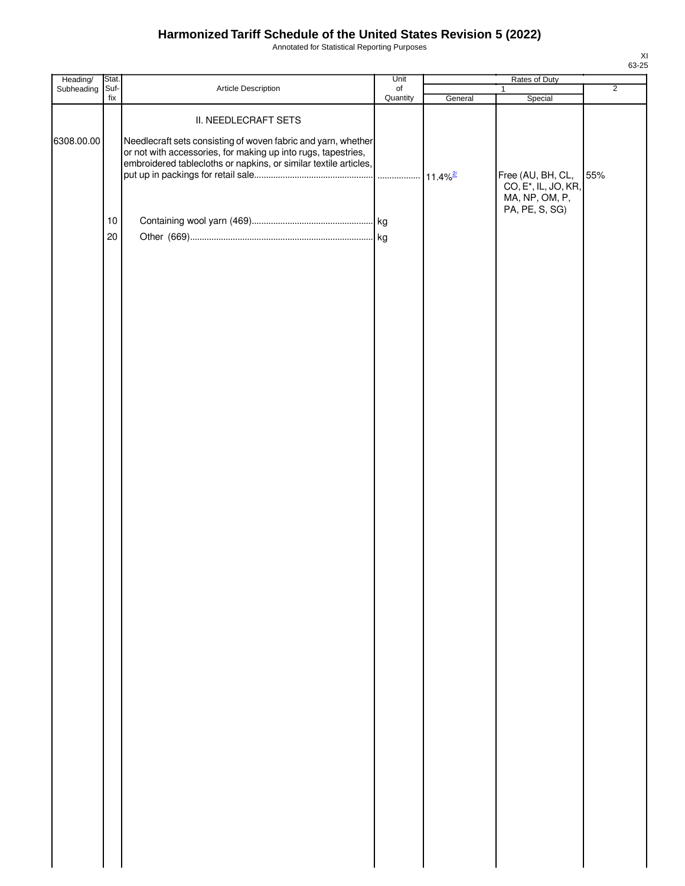Annotated for Statistical Reporting Purposes

| Heading/   | Stat.          |                                                                                                                                   | Unit                         | Rates of Duty |                                                       |                |  |
|------------|----------------|-----------------------------------------------------------------------------------------------------------------------------------|------------------------------|---------------|-------------------------------------------------------|----------------|--|
| Subheading | Suf-<br>fix    | Article Description                                                                                                               | $_{\mathsf{of}}$<br>Quantity |               | $\mathbf{1}$                                          | $\overline{2}$ |  |
| 6308.00.00 |                | II. NEEDLECRAFT SETS<br>Needlecraft sets consisting of woven fabric and yarn, whether                                             |                              | General       | Special                                               |                |  |
|            |                | or not with accessories, for making up into rugs, tapestries,<br>embroidered tablecloths or napkins, or similar textile articles, |                              |               | Free (AU, BH, CL,<br>CO, E <sup>*</sup> , IL, JO, KR, | 55%            |  |
|            | $10$<br>$20\,$ |                                                                                                                                   |                              |               | MA, NP, OM, P,<br>PA, PE, S, SG)                      |                |  |
|            |                |                                                                                                                                   |                              |               |                                                       |                |  |
|            |                |                                                                                                                                   |                              |               |                                                       |                |  |
|            |                |                                                                                                                                   |                              |               |                                                       |                |  |
|            |                |                                                                                                                                   |                              |               |                                                       |                |  |
|            |                |                                                                                                                                   |                              |               |                                                       |                |  |
|            |                |                                                                                                                                   |                              |               |                                                       |                |  |
|            |                |                                                                                                                                   |                              |               |                                                       |                |  |
|            |                |                                                                                                                                   |                              |               |                                                       |                |  |
|            |                |                                                                                                                                   |                              |               |                                                       |                |  |
|            |                |                                                                                                                                   |                              |               |                                                       |                |  |
|            |                |                                                                                                                                   |                              |               |                                                       |                |  |
|            |                |                                                                                                                                   |                              |               |                                                       |                |  |
|            |                |                                                                                                                                   |                              |               |                                                       |                |  |
|            |                |                                                                                                                                   |                              |               |                                                       |                |  |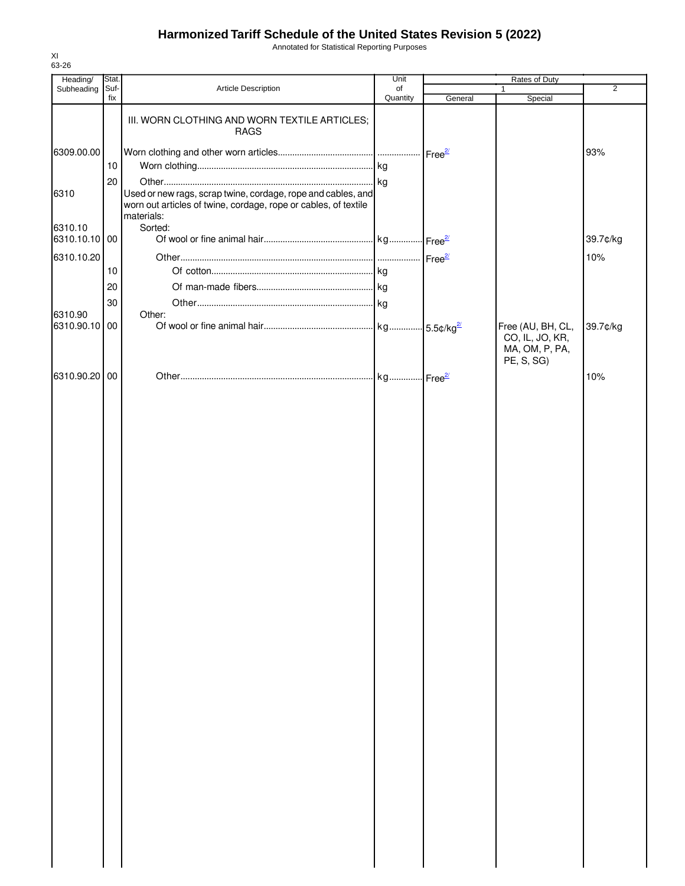Annotated for Statistical Reporting Purposes

| Heading/                 | Stat.       |                                                                                                                                               | Unit           |         | Rates of Duty                                                        |                |  |
|--------------------------|-------------|-----------------------------------------------------------------------------------------------------------------------------------------------|----------------|---------|----------------------------------------------------------------------|----------------|--|
| Subheading               | Suf-<br>fix | Article Description                                                                                                                           | of<br>Quantity | General | 1<br>Special                                                         | $\overline{2}$ |  |
|                          |             | III. WORN CLOTHING AND WORN TEXTILE ARTICLES;<br><b>RAGS</b>                                                                                  |                |         |                                                                      |                |  |
| 6309.00.00               |             |                                                                                                                                               |                |         |                                                                      | 93%            |  |
|                          | 10          |                                                                                                                                               |                |         |                                                                      |                |  |
|                          | 20          |                                                                                                                                               |                |         |                                                                      |                |  |
| 6310                     |             | Used or new rags, scrap twine, cordage, rope and cables, and<br>worn out articles of twine, cordage, rope or cables, of textile<br>materials: |                |         |                                                                      |                |  |
| 6310.10<br>6310.10.10 00 |             | Sorted:                                                                                                                                       |                |         |                                                                      |                |  |
|                          |             |                                                                                                                                               |                |         |                                                                      | 39.7¢/kg       |  |
| 6310.10.20               | 10          |                                                                                                                                               |                |         |                                                                      | 10%            |  |
|                          | 20          |                                                                                                                                               |                |         |                                                                      |                |  |
|                          | 30          |                                                                                                                                               |                |         |                                                                      |                |  |
| 6310.90                  |             | Other:                                                                                                                                        |                |         |                                                                      |                |  |
| 6310.90.10 00            |             |                                                                                                                                               |                |         | Free (AU, BH, CL,<br>CO, IL, JO, KR,<br>MA, OM, P, PA,<br>PE, S, SG) | 39.7¢/kg       |  |
| 6310.90.20 00            |             |                                                                                                                                               |                |         |                                                                      | 10%            |  |
|                          |             |                                                                                                                                               |                |         |                                                                      |                |  |
|                          |             |                                                                                                                                               |                |         |                                                                      |                |  |